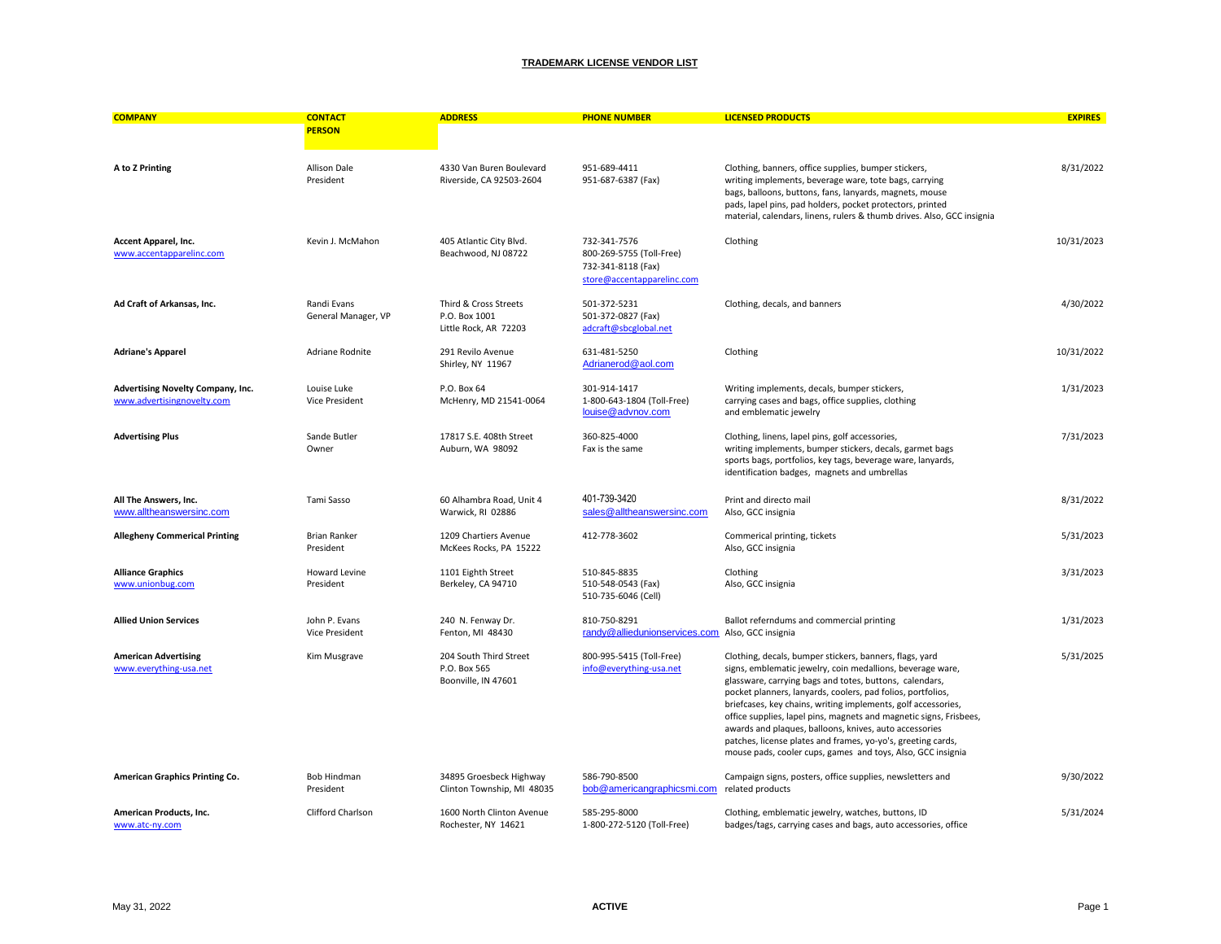| <b>COMPANY</b>                                                  | <b>CONTACT</b>                       | <b>ADDRESS</b>                                                  | <b>PHONE NUMBER</b>                                                                          | <b>LICENSED PRODUCTS</b>                                                                                                                                                                                                                                                                                                                                                                                                                                                                                                                                                        | <b>EXPIRES</b> |
|-----------------------------------------------------------------|--------------------------------------|-----------------------------------------------------------------|----------------------------------------------------------------------------------------------|---------------------------------------------------------------------------------------------------------------------------------------------------------------------------------------------------------------------------------------------------------------------------------------------------------------------------------------------------------------------------------------------------------------------------------------------------------------------------------------------------------------------------------------------------------------------------------|----------------|
|                                                                 | <b>PERSON</b>                        |                                                                 |                                                                                              |                                                                                                                                                                                                                                                                                                                                                                                                                                                                                                                                                                                 |                |
| A to Z Printing                                                 | Allison Dale<br>President            | 4330 Van Buren Boulevard<br>Riverside, CA 92503-2604            | 951-689-4411<br>951-687-6387 (Fax)                                                           | Clothing, banners, office supplies, bumper stickers,<br>writing implements, beverage ware, tote bags, carrying<br>bags, balloons, buttons, fans, lanyards, magnets, mouse<br>pads, lapel pins, pad holders, pocket protectors, printed<br>material, calendars, linens, rulers & thumb drives. Also, GCC insignia                                                                                                                                                                                                                                                                | 8/31/2022      |
| Accent Apparel, Inc.<br>www.accentapparelinc.com                | Kevin J. McMahon                     | 405 Atlantic City Blvd.<br>Beachwood, NJ 08722                  | 732-341-7576<br>800-269-5755 (Toll-Free)<br>732-341-8118 (Fax)<br>store@accentapparelinc.com | Clothing                                                                                                                                                                                                                                                                                                                                                                                                                                                                                                                                                                        | 10/31/2023     |
| Ad Craft of Arkansas, Inc.                                      | Randi Evans<br>General Manager, VP   | Third & Cross Streets<br>P.O. Box 1001<br>Little Rock, AR 72203 | 501-372-5231<br>501-372-0827 (Fax)<br>adcraft@sbcglobal.net                                  | Clothing, decals, and banners                                                                                                                                                                                                                                                                                                                                                                                                                                                                                                                                                   | 4/30/2022      |
| <b>Adriane's Apparel</b>                                        | Adriane Rodnite                      | 291 Revilo Avenue<br>Shirley, NY 11967                          | 631-481-5250<br>Adrianerod@aol.com                                                           | Clothing                                                                                                                                                                                                                                                                                                                                                                                                                                                                                                                                                                        | 10/31/2022     |
| Advertising Novelty Company, Inc.<br>www.advertisingnovelty.com | Louise Luke<br><b>Vice President</b> | P.O. Box 64<br>McHenry, MD 21541-0064                           | 301-914-1417<br>1-800-643-1804 (Toll-Free)<br>louise@advnov.com                              | Writing implements, decals, bumper stickers,<br>carrying cases and bags, office supplies, clothing<br>and emblematic jewelry                                                                                                                                                                                                                                                                                                                                                                                                                                                    | 1/31/2023      |
| <b>Advertising Plus</b>                                         | Sande Butler<br>Owner                | 17817 S.E. 408th Street<br>Auburn, WA 98092                     | 360-825-4000<br>Fax is the same                                                              | Clothing, linens, lapel pins, golf accessories,<br>writing implements, bumper stickers, decals, garmet bags<br>sports bags, portfolios, key tags, beverage ware, lanyards,<br>identification badges, magnets and umbrellas                                                                                                                                                                                                                                                                                                                                                      | 7/31/2023      |
| All The Answers, Inc.<br>www.alltheanswersinc.com               | Tami Sasso                           | 60 Alhambra Road, Unit 4<br>Warwick, RI 02886                   | 401-739-3420<br>sales@alltheanswersinc.com                                                   | Print and directo mail<br>Also, GCC insignia                                                                                                                                                                                                                                                                                                                                                                                                                                                                                                                                    | 8/31/2022      |
| <b>Allegheny Commerical Printing</b>                            | <b>Brian Ranker</b><br>President     | 1209 Chartiers Avenue<br>McKees Rocks, PA 15222                 | 412-778-3602                                                                                 | Commerical printing, tickets<br>Also, GCC insignia                                                                                                                                                                                                                                                                                                                                                                                                                                                                                                                              | 5/31/2023      |
| <b>Alliance Graphics</b><br>www.unionbug.com                    | Howard Levine<br>President           | 1101 Eighth Street<br>Berkeley, CA 94710                        | 510-845-8835<br>510-548-0543 (Fax)<br>510-735-6046 (Cell)                                    | Clothing<br>Also, GCC insignia                                                                                                                                                                                                                                                                                                                                                                                                                                                                                                                                                  | 3/31/2023      |
| <b>Allied Union Services</b>                                    | John P. Evans<br>Vice President      | 240 N. Fenway Dr.<br>Fenton, MI 48430                           | 810-750-8291<br>randy@alliedunionservices.com Also, GCC insignia                             | Ballot referndums and commercial printing                                                                                                                                                                                                                                                                                                                                                                                                                                                                                                                                       | 1/31/2023      |
| <b>American Advertising</b><br>www.everything-usa.net           | Kim Musgrave                         | 204 South Third Street<br>P.O. Box 565<br>Boonville, IN 47601   | 800-995-5415 (Toll-Free)<br>info@everything-usa.net                                          | Clothing, decals, bumper stickers, banners, flags, yard<br>signs, emblematic jewelry, coin medallions, beverage ware,<br>glassware, carrying bags and totes, buttons, calendars,<br>pocket planners, lanyards, coolers, pad folios, portfolios,<br>briefcases, key chains, writing implements, golf accessories,<br>office supplies, lapel pins, magnets and magnetic signs, Frisbees,<br>awards and plaques, balloons, knives, auto accessories<br>patches, license plates and frames, yo-yo's, greeting cards,<br>mouse pads, cooler cups, games and toys, Also, GCC insignia | 5/31/2025      |
| American Graphics Printing Co.                                  | <b>Bob Hindman</b><br>President      | 34895 Groesbeck Highway<br>Clinton Township, MI 48035           | 586-790-8500<br>bob@americangraphicsmi.com                                                   | Campaign signs, posters, office supplies, newsletters and<br>related products                                                                                                                                                                                                                                                                                                                                                                                                                                                                                                   | 9/30/2022      |
| American Products, Inc.<br>www.atc-ny.com                       | Clifford Charlson                    | 1600 North Clinton Avenue<br>Rochester, NY 14621                | 585-295-8000<br>1-800-272-5120 (Toll-Free)                                                   | Clothing, emblematic jewelry, watches, buttons, ID<br>badges/tags, carrying cases and bags, auto accessories, office                                                                                                                                                                                                                                                                                                                                                                                                                                                            | 5/31/2024      |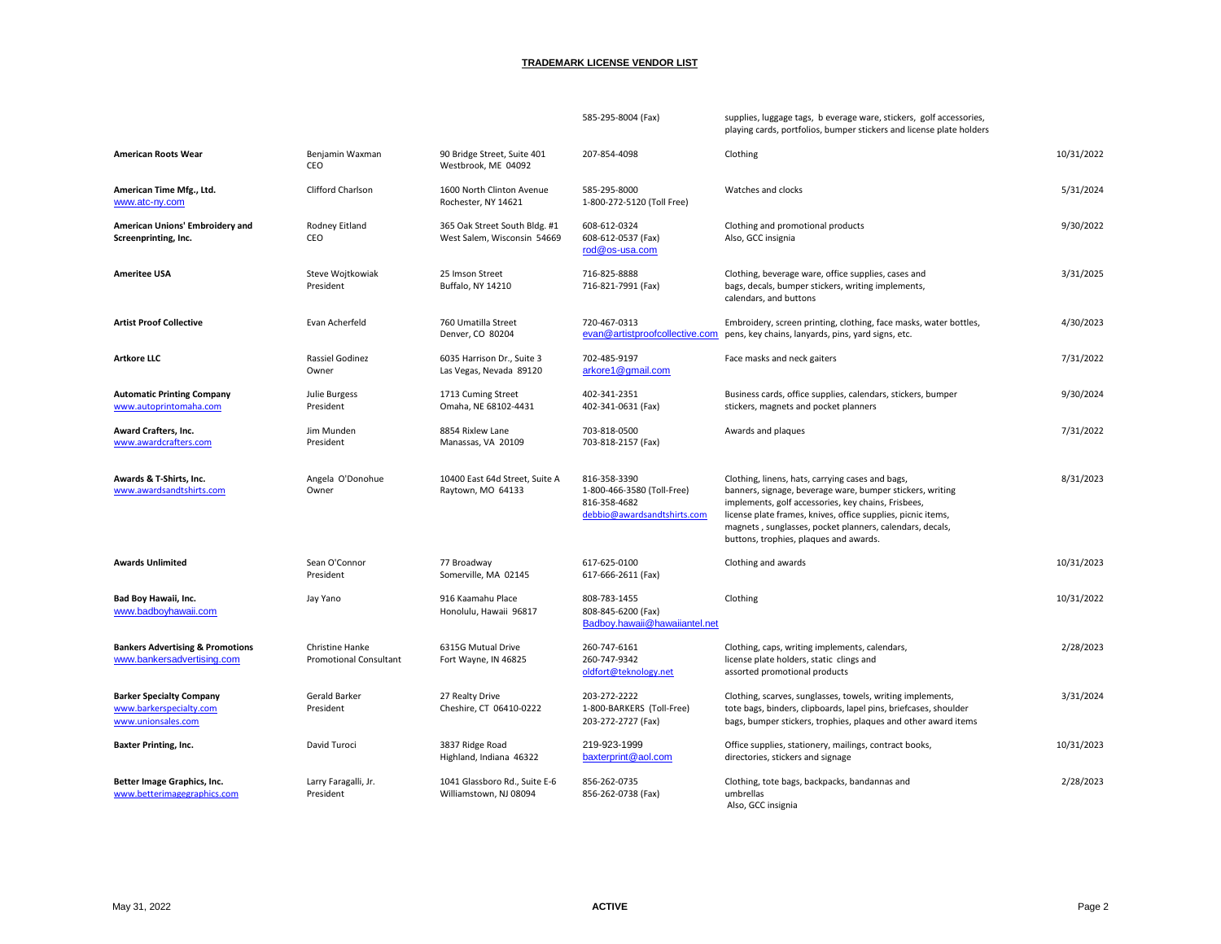|                                                                                  |                                                  |                                                              | 585-295-8004 (Fax)                                                                        | supplies, luggage tags, b everage ware, stickers, golf accessories,<br>playing cards, portfolios, bumper stickers and license plate holders                                                                                                                                                                                                |            |
|----------------------------------------------------------------------------------|--------------------------------------------------|--------------------------------------------------------------|-------------------------------------------------------------------------------------------|--------------------------------------------------------------------------------------------------------------------------------------------------------------------------------------------------------------------------------------------------------------------------------------------------------------------------------------------|------------|
| <b>American Roots Wear</b>                                                       | Benjamin Waxman<br>CEO                           | 90 Bridge Street, Suite 401<br>Westbrook, ME 04092           | 207-854-4098                                                                              | Clothing                                                                                                                                                                                                                                                                                                                                   | 10/31/2022 |
| American Time Mfg., Ltd.<br>www.atc-ny.com                                       | Clifford Charlson                                | 1600 North Clinton Avenue<br>Rochester, NY 14621             | 585-295-8000<br>1-800-272-5120 (Toll Free)                                                | Watches and clocks                                                                                                                                                                                                                                                                                                                         | 5/31/2024  |
| American Unions' Embroidery and<br>Screenprinting, Inc.                          | Rodney Eitland<br>CEO                            | 365 Oak Street South Bldg. #1<br>West Salem, Wisconsin 54669 | 608-612-0324<br>608-612-0537 (Fax)<br>rod@os-usa.com                                      | Clothing and promotional products<br>Also, GCC insignia                                                                                                                                                                                                                                                                                    | 9/30/2022  |
| <b>Ameritee USA</b>                                                              | Steve Wojtkowiak<br>President                    | 25 Imson Street<br>Buffalo, NY 14210                         | 716-825-8888<br>716-821-7991 (Fax)                                                        | Clothing, beverage ware, office supplies, cases and<br>bags, decals, bumper stickers, writing implements,<br>calendars, and buttons                                                                                                                                                                                                        | 3/31/2025  |
| <b>Artist Proof Collective</b>                                                   | Evan Acherfeld                                   | 760 Umatilla Street<br>Denver, CO 80204                      | 720-467-0313<br>evan@artistproofcollective.com                                            | Embroidery, screen printing, clothing, face masks, water bottles,<br>pens, key chains, lanyards, pins, yard signs, etc.                                                                                                                                                                                                                    | 4/30/2023  |
| <b>Artkore LLC</b>                                                               | Rassiel Godinez<br>Owner                         | 6035 Harrison Dr., Suite 3<br>Las Vegas, Nevada 89120        | 702-485-9197<br>arkore1@gmail.com                                                         | Face masks and neck gaiters                                                                                                                                                                                                                                                                                                                | 7/31/2022  |
| <b>Automatic Printing Company</b><br>www.autoprintomaha.com                      | Julie Burgess<br>President                       | 1713 Cuming Street<br>Omaha, NE 68102-4431                   | 402-341-2351<br>402-341-0631 (Fax)                                                        | Business cards, office supplies, calendars, stickers, bumper<br>stickers, magnets and pocket planners                                                                                                                                                                                                                                      | 9/30/2024  |
| Award Crafters, Inc.<br>www.awardcrafters.com                                    | Jim Munden<br>President                          | 8854 Rixlew Lane<br>Manassas, VA 20109                       | 703-818-0500<br>703-818-2157 (Fax)                                                        | Awards and plaques                                                                                                                                                                                                                                                                                                                         | 7/31/2022  |
| Awards & T-Shirts, Inc.<br>www.awardsandtshirts.com                              | Angela O'Donohue<br>Owner                        | 10400 East 64d Street, Suite A<br>Raytown, MO 64133          | 816-358-3390<br>1-800-466-3580 (Toll-Free)<br>816-358-4682<br>debbio@awardsandtshirts.com | Clothing, linens, hats, carrying cases and bags,<br>banners, signage, beverage ware, bumper stickers, writing<br>implements, golf accessories, key chains, Frisbees,<br>license plate frames, knives, office supplies, picnic items,<br>magnets, sunglasses, pocket planners, calendars, decals,<br>buttons, trophies, plaques and awards. | 8/31/2023  |
| <b>Awards Unlimited</b>                                                          | Sean O'Connor<br>President                       | 77 Broadway<br>Somerville, MA 02145                          | 617-625-0100<br>617-666-2611 (Fax)                                                        | Clothing and awards                                                                                                                                                                                                                                                                                                                        | 10/31/2023 |
| Bad Boy Hawaii, Inc.<br>www.badboyhawaii.com                                     | Jay Yano                                         | 916 Kaamahu Place<br>Honolulu, Hawaii 96817                  | 808-783-1455<br>808-845-6200 (Fax)<br>Badboy.hawaii@hawaiiantel.net                       | Clothing                                                                                                                                                                                                                                                                                                                                   | 10/31/2022 |
| <b>Bankers Advertising &amp; Promotions</b><br>www.bankersadvertising.com        | Christine Hanke<br><b>Promotional Consultant</b> | 6315G Mutual Drive<br>Fort Wayne, IN 46825                   | 260-747-6161<br>260-747-9342<br>oldfort@teknology.net                                     | Clothing, caps, writing implements, calendars,<br>license plate holders, static clings and<br>assorted promotional products                                                                                                                                                                                                                | 2/28/2023  |
| <b>Barker Specialty Company</b><br>www.barkerspecialty.com<br>www.unionsales.com | Gerald Barker<br>President                       | 27 Realty Drive<br>Cheshire, CT 06410-0222                   | 203-272-2222<br>1-800-BARKERS (Toll-Free)<br>203-272-2727 (Fax)                           | Clothing, scarves, sunglasses, towels, writing implements,<br>tote bags, binders, clipboards, lapel pins, briefcases, shoulder<br>bags, bumper stickers, trophies, plaques and other award items                                                                                                                                           | 3/31/2024  |
| <b>Baxter Printing, Inc.</b>                                                     | David Turoci                                     | 3837 Ridge Road<br>Highland, Indiana 46322                   | 219-923-1999<br>baxterprint@aol.com                                                       | Office supplies, stationery, mailings, contract books,<br>directories, stickers and signage                                                                                                                                                                                                                                                | 10/31/2023 |
| Better Image Graphics, Inc.<br>www.betterimagegraphics.com                       | Larry Faragalli, Jr.<br>President                | 1041 Glassboro Rd., Suite E-6<br>Williamstown, NJ 08094      | 856-262-0735<br>856-262-0738 (Fax)                                                        | Clothing, tote bags, backpacks, bandannas and<br>umbrellas<br>Also, GCC insignia                                                                                                                                                                                                                                                           | 2/28/2023  |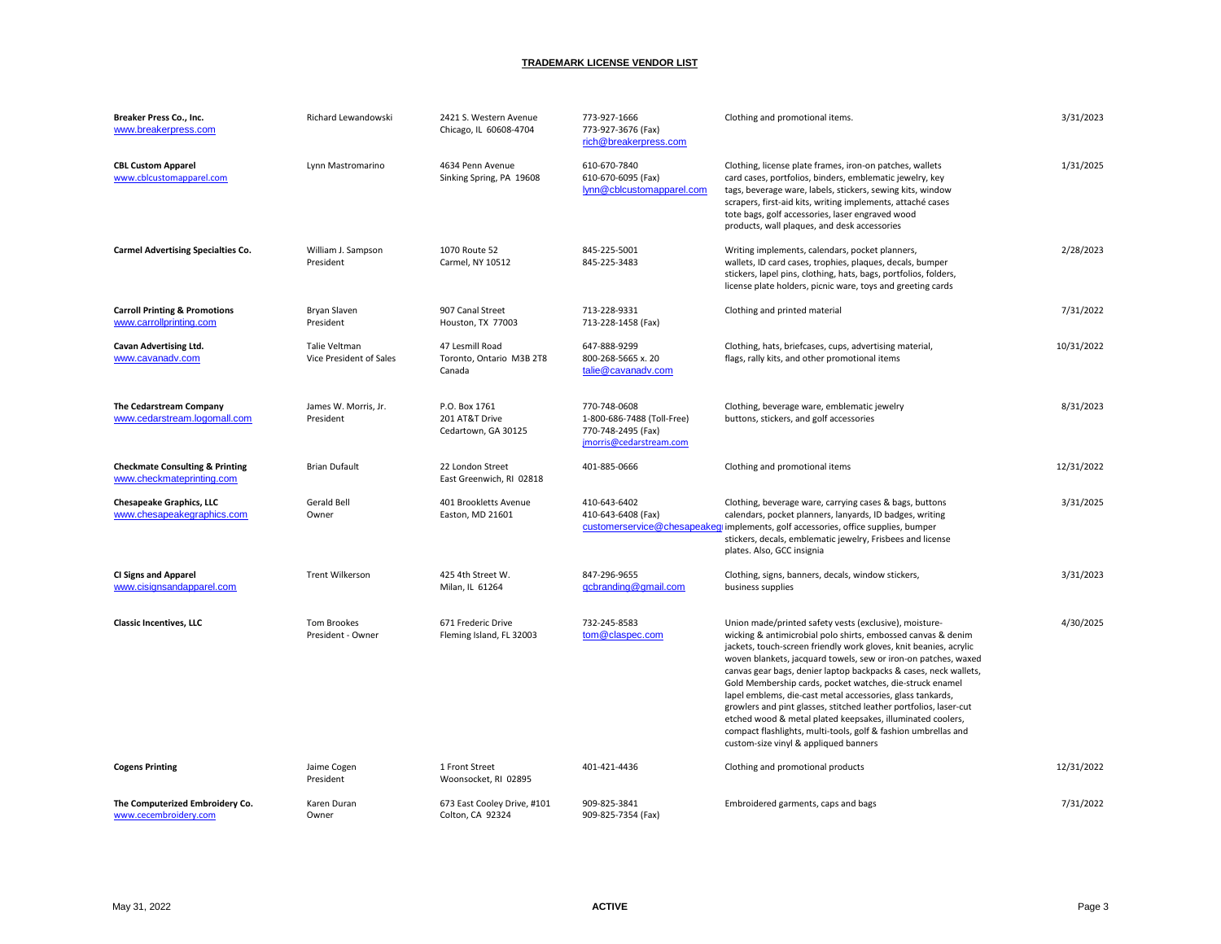| Breaker Press Co., Inc.<br>www.breakerpress.com                         | Richard Lewandowski                      | 2421 S. Western Avenue<br>Chicago, IL 60608-4704       | 773-927-1666<br>773-927-3676 (Fax)<br>rich@breakerpress.com                                 | Clothing and promotional items.                                                                                                                                                                                                                                                                                                                                                                                                                                                                                                                                                                                                                                                                           | 3/31/2023  |
|-------------------------------------------------------------------------|------------------------------------------|--------------------------------------------------------|---------------------------------------------------------------------------------------------|-----------------------------------------------------------------------------------------------------------------------------------------------------------------------------------------------------------------------------------------------------------------------------------------------------------------------------------------------------------------------------------------------------------------------------------------------------------------------------------------------------------------------------------------------------------------------------------------------------------------------------------------------------------------------------------------------------------|------------|
| <b>CBL Custom Apparel</b><br>www.cblcustomapparel.com                   | Lynn Mastromarino                        | 4634 Penn Avenue<br>Sinking Spring, PA 19608           | 610-670-7840<br>610-670-6095 (Fax)<br>lynn@cblcustomapparel.com                             | Clothing, license plate frames, iron-on patches, wallets<br>card cases, portfolios, binders, emblematic jewelry, key<br>tags, beverage ware, labels, stickers, sewing kits, window<br>scrapers, first-aid kits, writing implements, attaché cases<br>tote bags, golf accessories, laser engraved wood<br>products, wall plaques, and desk accessories                                                                                                                                                                                                                                                                                                                                                     | 1/31/2025  |
| <b>Carmel Advertising Specialties Co.</b>                               | William J. Sampson<br>President          | 1070 Route 52<br>Carmel, NY 10512                      | 845-225-5001<br>845-225-3483                                                                | Writing implements, calendars, pocket planners,<br>wallets, ID card cases, trophies, plaques, decals, bumper<br>stickers, lapel pins, clothing, hats, bags, portfolios, folders,<br>license plate holders, picnic ware, toys and greeting cards                                                                                                                                                                                                                                                                                                                                                                                                                                                           | 2/28/2023  |
| <b>Carroll Printing &amp; Promotions</b><br>www.carrollprinting.com     | Bryan Slaven<br>President                | 907 Canal Street<br>Houston, TX 77003                  | 713-228-9331<br>713-228-1458 (Fax)                                                          | Clothing and printed material                                                                                                                                                                                                                                                                                                                                                                                                                                                                                                                                                                                                                                                                             | 7/31/2022  |
| <b>Cavan Advertising Ltd.</b><br>www.cavanadv.com                       | Talie Veltman<br>Vice President of Sales | 47 Lesmill Road<br>Toronto, Ontario M3B 2T8<br>Canada  | 647-888-9299<br>800-268-5665 x. 20<br>talie@cavanadv.com                                    | Clothing, hats, briefcases, cups, advertising material,<br>flags, rally kits, and other promotional items                                                                                                                                                                                                                                                                                                                                                                                                                                                                                                                                                                                                 | 10/31/2022 |
| The Cedarstream Company<br>www.cedarstream.logomall.com                 | James W. Morris, Jr.<br>President        | P.O. Box 1761<br>201 AT&T Drive<br>Cedartown, GA 30125 | 770-748-0608<br>1-800-686-7488 (Toll-Free)<br>770-748-2495 (Fax)<br>jmorris@cedarstream.com | Clothing, beverage ware, emblematic jewelry<br>buttons, stickers, and golf accessories                                                                                                                                                                                                                                                                                                                                                                                                                                                                                                                                                                                                                    | 8/31/2023  |
| <b>Checkmate Consulting &amp; Printing</b><br>www.checkmateprinting.com | <b>Brian Dufault</b>                     | 22 London Street<br>East Greenwich, RI 02818           | 401-885-0666                                                                                | Clothing and promotional items                                                                                                                                                                                                                                                                                                                                                                                                                                                                                                                                                                                                                                                                            | 12/31/2022 |
| <b>Chesapeake Graphics, LLC</b><br>www.chesapeakegraphics.com           | <b>Gerald Bell</b><br>Owner              | 401 Brookletts Avenue<br>Easton, MD 21601              | 410-643-6402<br>410-643-6408 (Fax)<br>customerservice@chesapeake                            | Clothing, beverage ware, carrying cases & bags, buttons<br>calendars, pocket planners, lanyards, ID badges, writing<br><b>g</b> implements, golf accessories, office supplies, bumper<br>stickers, decals, emblematic jewelry, Frisbees and license<br>plates. Also, GCC insignia                                                                                                                                                                                                                                                                                                                                                                                                                         | 3/31/2025  |
| <b>CI Signs and Apparel</b><br>www.cisignsandapparel.com                | <b>Trent Wilkerson</b>                   | 425 4th Street W.<br>Milan, IL 61264                   | 847-296-9655<br>qcbranding@gmail.com                                                        | Clothing, signs, banners, decals, window stickers,<br>business supplies                                                                                                                                                                                                                                                                                                                                                                                                                                                                                                                                                                                                                                   | 3/31/2023  |
| <b>Classic Incentives, LLC</b>                                          | <b>Tom Brookes</b><br>President - Owner  | 671 Frederic Drive<br>Fleming Island, FL 32003         | 732-245-8583<br>tom@claspec.com                                                             | Union made/printed safety vests (exclusive), moisture-<br>wicking & antimicrobial polo shirts, embossed canvas & denim<br>jackets, touch-screen friendly work gloves, knit beanies, acrylic<br>woven blankets, jacquard towels, sew or iron-on patches, waxed<br>canvas gear bags, denier laptop backpacks & cases, neck wallets,<br>Gold Membership cards, pocket watches, die-struck enamel<br>lapel emblems, die-cast metal accessories, glass tankards,<br>growlers and pint glasses, stitched leather portfolios, laser-cut<br>etched wood & metal plated keepsakes, illuminated coolers,<br>compact flashlights, multi-tools, golf & fashion umbrellas and<br>custom-size vinyl & appliqued banners | 4/30/2025  |
| <b>Cogens Printing</b>                                                  | Jaime Cogen<br>President                 | 1 Front Street<br>Woonsocket, RI 02895                 | 401-421-4436                                                                                | Clothing and promotional products                                                                                                                                                                                                                                                                                                                                                                                                                                                                                                                                                                                                                                                                         | 12/31/2022 |
| The Computerized Embroidery Co.<br>www.cecembroidery.com                | Karen Duran<br>Owner                     | 673 East Cooley Drive, #101<br>Colton, CA 92324        | 909-825-3841<br>909-825-7354 (Fax)                                                          | Embroidered garments, caps and bags                                                                                                                                                                                                                                                                                                                                                                                                                                                                                                                                                                                                                                                                       | 7/31/2022  |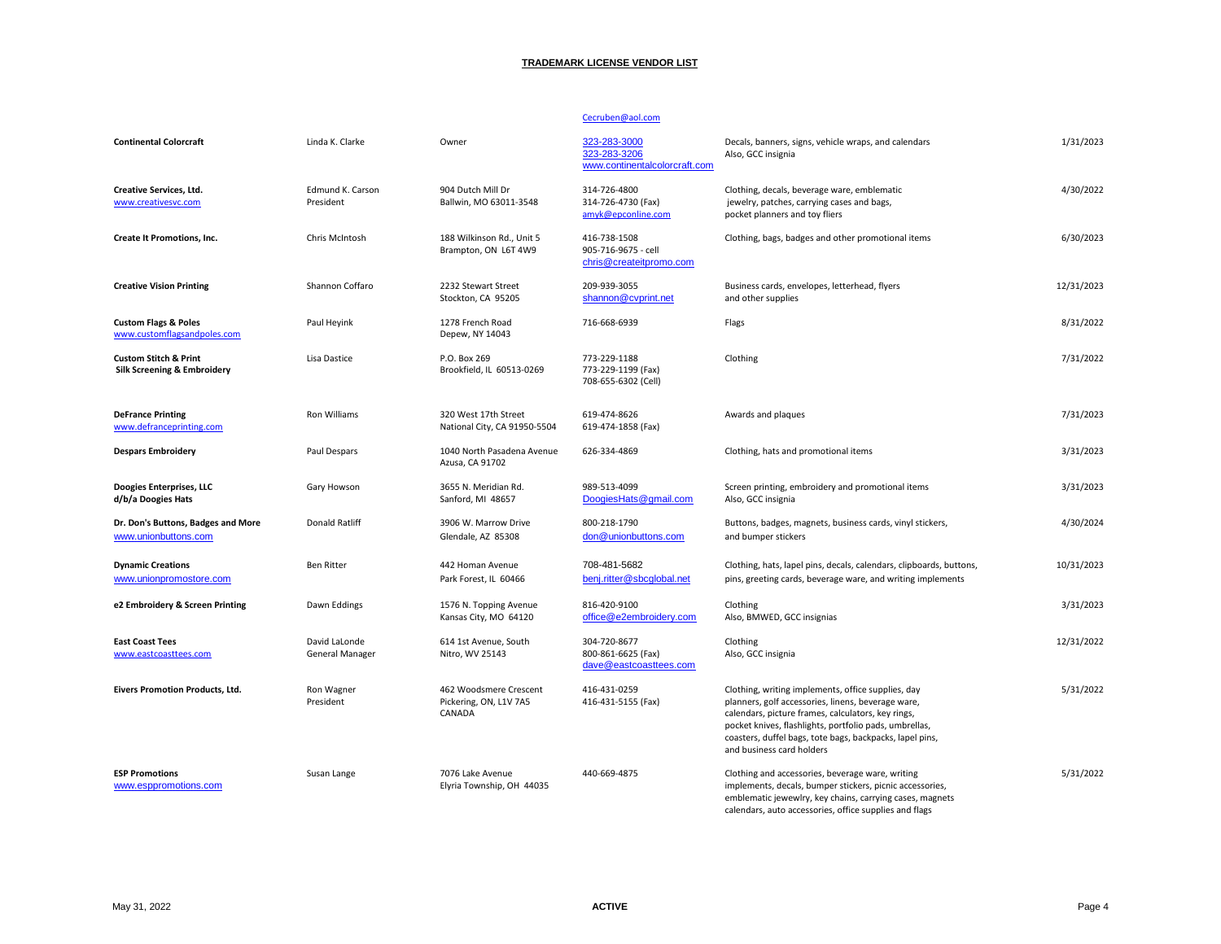#### Cecruben@aol.com

| <b>Continental Colorcraft</b>                                   | Linda K. Clarke                  | Owner                                                      | 323-283-3000<br>323-283-3206<br>www.continentalcolorcraft.com  | Decals, banners, signs, vehicle wraps, and calendars<br>Also, GCC insignia                                                                                                                                                                                                                                        | 1/31/2023  |
|-----------------------------------------------------------------|----------------------------------|------------------------------------------------------------|----------------------------------------------------------------|-------------------------------------------------------------------------------------------------------------------------------------------------------------------------------------------------------------------------------------------------------------------------------------------------------------------|------------|
| <b>Creative Services, Ltd.</b><br>www.creativesvc.com           | Edmund K. Carson<br>President    | 904 Dutch Mill Dr<br>Ballwin, MO 63011-3548                | 314-726-4800<br>314-726-4730 (Fax)<br>amyk@epconline.com       | Clothing, decals, beverage ware, emblematic<br>jewelry, patches, carrying cases and bags,<br>pocket planners and toy fliers                                                                                                                                                                                       | 4/30/2022  |
| Create It Promotions, Inc.                                      | Chris McIntosh                   | 188 Wilkinson Rd., Unit 5<br>Brampton, ON L6T 4W9          | 416-738-1508<br>905-716-9675 - cell<br>chris@createitpromo.com | Clothing, bags, badges and other promotional items                                                                                                                                                                                                                                                                | 6/30/2023  |
| <b>Creative Vision Printing</b>                                 | Shannon Coffaro                  | 2232 Stewart Street<br>Stockton, CA 95205                  | 209-939-3055<br>shannon@cvprint.net                            | Business cards, envelopes, letterhead, flyers<br>and other supplies                                                                                                                                                                                                                                               | 12/31/2023 |
| <b>Custom Flags &amp; Poles</b><br>www.customflagsandpoles.com  | Paul Heyink                      | 1278 French Road<br>Depew, NY 14043                        | 716-668-6939                                                   | Flags                                                                                                                                                                                                                                                                                                             | 8/31/2022  |
| <b>Custom Stitch &amp; Print</b><br>Silk Screening & Embroidery | Lisa Dastice                     | P.O. Box 269<br>Brookfield, IL 60513-0269                  | 773-229-1188<br>773-229-1199 (Fax)<br>708-655-6302 (Cell)      | Clothing                                                                                                                                                                                                                                                                                                          | 7/31/2022  |
| <b>DeFrance Printing</b><br>www.defranceprinting.com            | Ron Williams                     | 320 West 17th Street<br>National City, CA 91950-5504       | 619-474-8626<br>619-474-1858 (Fax)                             | Awards and plaques                                                                                                                                                                                                                                                                                                | 7/31/2023  |
| <b>Despars Embroidery</b>                                       | Paul Despars                     | 1040 North Pasadena Avenue<br>Azusa, CA 91702              | 626-334-4869                                                   | Clothing, hats and promotional items                                                                                                                                                                                                                                                                              | 3/31/2023  |
| Doogies Enterprises, LLC<br>d/b/a Doogies Hats                  | Gary Howson                      | 3655 N. Meridian Rd.<br>Sanford, MI 48657                  | 989-513-4099<br>DoogiesHats@gmail.com                          | Screen printing, embroidery and promotional items<br>Also, GCC insignia                                                                                                                                                                                                                                           | 3/31/2023  |
| Dr. Don's Buttons, Badges and More<br>www.unionbuttons.com      | <b>Donald Ratliff</b>            | 3906 W. Marrow Drive<br>Glendale, AZ 85308                 | 800-218-1790<br>don@unionbuttons.com                           | Buttons, badges, magnets, business cards, vinyl stickers,<br>and bumper stickers                                                                                                                                                                                                                                  | 4/30/2024  |
| <b>Dynamic Creations</b><br>www.unionpromostore.com             | <b>Ben Ritter</b>                | 442 Homan Avenue<br>Park Forest, IL 60466                  | 708-481-5682<br>benj.ritter@sbcqlobal.net                      | Clothing, hats, lapel pins, decals, calendars, clipboards, buttons,<br>pins, greeting cards, beverage ware, and writing implements                                                                                                                                                                                | 10/31/2023 |
| e2 Embroidery & Screen Printing                                 | Dawn Eddings                     | 1576 N. Topping Avenue<br>Kansas City, MO 64120            | 816-420-9100<br>office@e2embroidery.com                        | Clothing<br>Also, BMWED, GCC insignias                                                                                                                                                                                                                                                                            | 3/31/2023  |
| <b>East Coast Tees</b><br>www.eastcoasttees.com                 | David LaLonde<br>General Manager | 614 1st Avenue, South<br>Nitro, WV 25143                   | 304-720-8677<br>800-861-6625 (Fax)<br>dave@eastcoasttees.com   | Clothing<br>Also, GCC insignia                                                                                                                                                                                                                                                                                    | 12/31/2022 |
| Eivers Promotion Products, Ltd.                                 | Ron Wagner<br>President          | 462 Woodsmere Crescent<br>Pickering, ON, L1V 7A5<br>CANADA | 416-431-0259<br>416-431-5155 (Fax)                             | Clothing, writing implements, office supplies, day<br>planners, golf accessories, linens, beverage ware,<br>calendars, picture frames, calculators, key rings,<br>pocket knives, flashlights, portfolio pads, umbrellas,<br>coasters, duffel bags, tote bags, backpacks, lapel pins,<br>and business card holders | 5/31/2022  |
| <b>ESP Promotions</b><br>www.esppromotions.com                  | Susan Lange                      | 7076 Lake Avenue<br>Elyria Township, OH 44035              | 440-669-4875                                                   | Clothing and accessories, beverage ware, writing<br>implements, decals, bumper stickers, picnic accessories,<br>emblematic jewewlry, key chains, carrying cases, magnets<br>calendars, auto accessories, office supplies and flags                                                                                | 5/31/2022  |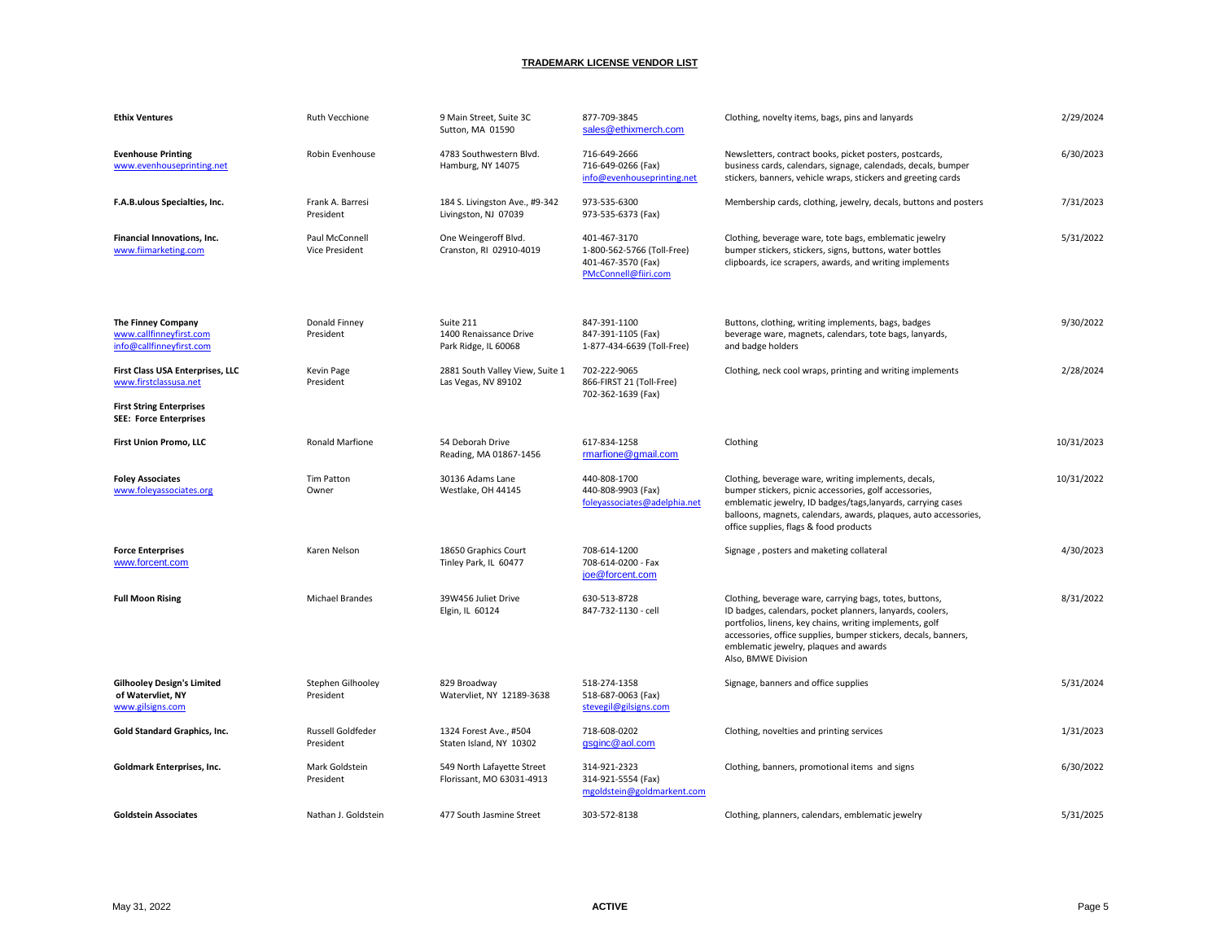| <b>Ethix Ventures</b>                                                      | Ruth Vecchione                          | 9 Main Street, Suite 3C<br>Sutton, MA 01590                 | 877-709-3845<br>sales@ethixmerch.com                                                     | Clothing, novelty items, bags, pins and lanyards                                                                                                                                                                                                                                                                     | 2/29/2024  |
|----------------------------------------------------------------------------|-----------------------------------------|-------------------------------------------------------------|------------------------------------------------------------------------------------------|----------------------------------------------------------------------------------------------------------------------------------------------------------------------------------------------------------------------------------------------------------------------------------------------------------------------|------------|
| <b>Evenhouse Printing</b><br>www.evenhouseprinting.net                     | Robin Evenhouse                         | 4783 Southwestern Blvd.<br>Hamburg, NY 14075                | 716-649-2666<br>716-649-0266 (Fax)<br>info@evenhouseprinting.net                         | Newsletters, contract books, picket posters, postcards,<br>business cards, calendars, signage, calendads, decals, bumper<br>stickers, banners, vehicle wraps, stickers and greeting cards                                                                                                                            | 6/30/2023  |
| F.A.B.ulous Specialties, Inc.                                              | Frank A. Barresi<br>President           | 184 S. Livingston Ave., #9-342<br>Livingston, NJ 07039      | 973-535-6300<br>973-535-6373 (Fax)                                                       | Membership cards, clothing, jewelry, decals, buttons and posters                                                                                                                                                                                                                                                     | 7/31/2023  |
| Financial Innovations, Inc.<br>www.fiimarketing.com                        | Paul McConnell<br><b>Vice President</b> | One Weingeroff Blvd.<br>Cranston, RI 02910-4019             | 401-467-3170<br>1-800-562-5766 (Toll-Free)<br>401-467-3570 (Fax)<br>PMcConnell@fiiri.com | Clothing, beverage ware, tote bags, emblematic jewelry<br>bumper stickers, stickers, signs, buttons, water bottles<br>clipboards, ice scrapers, awards, and writing implements                                                                                                                                       | 5/31/2022  |
| The Finney Company<br>www.callfinneyfirst.com<br>info@callfinneyfirst.com  | Donald Finney<br>President              | Suite 211<br>1400 Renaissance Drive<br>Park Ridge, IL 60068 | 847-391-1100<br>847-391-1105 (Fax)<br>1-877-434-6639 (Toll-Free)                         | Buttons, clothing, writing implements, bags, badges<br>beverage ware, magnets, calendars, tote bags, lanyards,<br>and badge holders                                                                                                                                                                                  | 9/30/2022  |
| First Class USA Enterprises, LLC<br>www.firstclassusa.net                  | Kevin Page<br>President                 | 2881 South Valley View, Suite 1<br>Las Vegas, NV 89102      | 702-222-9065<br>866-FIRST 21 (Toll-Free)<br>702-362-1639 (Fax)                           | Clothing, neck cool wraps, printing and writing implements                                                                                                                                                                                                                                                           | 2/28/2024  |
| <b>First String Enterprises</b><br><b>SEE: Force Enterprises</b>           |                                         |                                                             |                                                                                          |                                                                                                                                                                                                                                                                                                                      |            |
| First Union Promo, LLC                                                     | Ronald Marfione                         | 54 Deborah Drive<br>Reading, MA 01867-1456                  | 617-834-1258<br>rmarfione@gmail.com                                                      | Clothing                                                                                                                                                                                                                                                                                                             | 10/31/2023 |
| <b>Foley Associates</b><br>www.foleyassociates.org                         | <b>Tim Patton</b><br>Owner              | 30136 Adams Lane<br>Westlake, OH 44145                      | 440-808-1700<br>440-808-9903 (Fax)<br>foleyassociates@adelphia.net                       | Clothing, beverage ware, writing implements, decals,<br>bumper stickers, picnic accessories, golf accessories,<br>emblematic jewelry, ID badges/tags, lanyards, carrying cases<br>balloons, magnets, calendars, awards, plaques, auto accessories,<br>office supplies, flags & food products                         | 10/31/2022 |
| <b>Force Enterprises</b><br>www.forcent.com                                | Karen Nelson                            | 18650 Graphics Court<br>Tinley Park, IL 60477               | 708-614-1200<br>708-614-0200 - Fax<br>joe@forcent.com                                    | Signage, posters and maketing collateral                                                                                                                                                                                                                                                                             | 4/30/2023  |
| <b>Full Moon Rising</b>                                                    | <b>Michael Brandes</b>                  | 39W456 Juliet Drive<br>Elgin, IL 60124                      | 630-513-8728<br>847-732-1130 - cell                                                      | Clothing, beverage ware, carrying bags, totes, buttons,<br>ID badges, calendars, pocket planners, lanyards, coolers,<br>portfolios, linens, key chains, writing implements, golf<br>accessories, office supplies, bumper stickers, decals, banners,<br>emblematic jewelry, plaques and awards<br>Also, BMWE Division | 8/31/2022  |
| <b>Gilhooley Design's Limited</b><br>of Watervliet, NY<br>www.gilsigns.com | Stephen Gilhooley<br>President          | 829 Broadway<br>Watervliet, NY 12189-3638                   | 518-274-1358<br>518-687-0063 (Fax)<br>stevegil@gilsigns.com                              | Signage, banners and office supplies                                                                                                                                                                                                                                                                                 | 5/31/2024  |
| Gold Standard Graphics, Inc.                                               |                                         |                                                             |                                                                                          |                                                                                                                                                                                                                                                                                                                      | 1/31/2023  |
|                                                                            | Russell Goldfeder<br>President          | 1324 Forest Ave., #504<br>Staten Island, NY 10302           | 718-608-0202<br>gsginc@aol.com                                                           | Clothing, novelties and printing services                                                                                                                                                                                                                                                                            |            |
| Goldmark Enterprises, Inc.                                                 | Mark Goldstein<br>President             | 549 North Lafayette Street<br>Florissant, MO 63031-4913     | 314-921-2323<br>314-921-5554 (Fax)<br>mgoldstein@goldmarkent.com                         | Clothing, banners, promotional items and signs                                                                                                                                                                                                                                                                       | 6/30/2022  |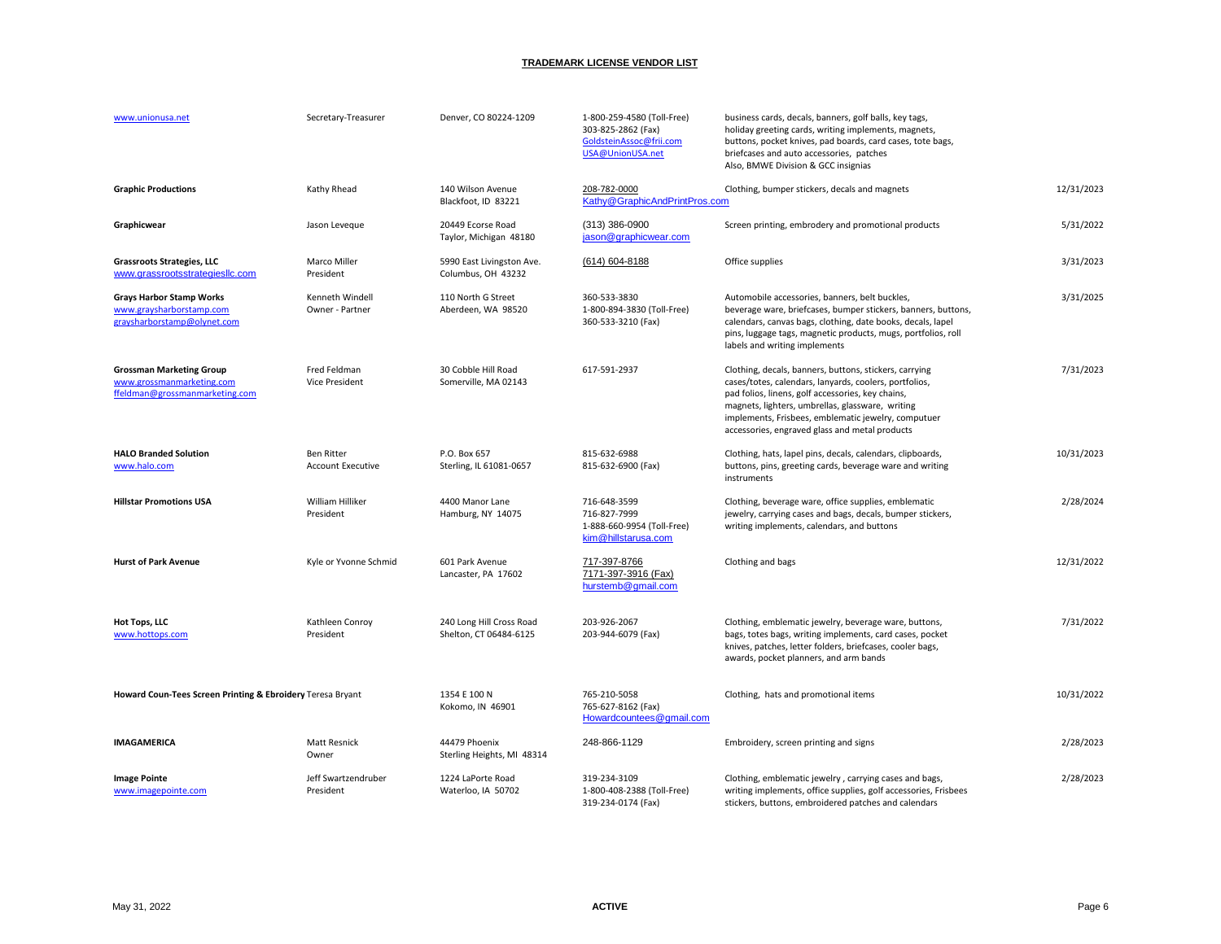| www.unionusa.net                                                                               | Secretary-Treasurer                           | Denver, CO 80224-1209                              | 1-800-259-4580 (Toll-Free)<br>303-825-2862 (Fax)<br>GoldsteinAssoc@frii.com<br>USA@UnionUSA.net | business cards, decals, banners, golf balls, key tags,<br>holiday greeting cards, writing implements, magnets,<br>buttons, pocket knives, pad boards, card cases, tote bags,<br>briefcases and auto accessories, patches<br>Also, BMWE Division & GCC insignias                                                                    |            |
|------------------------------------------------------------------------------------------------|-----------------------------------------------|----------------------------------------------------|-------------------------------------------------------------------------------------------------|------------------------------------------------------------------------------------------------------------------------------------------------------------------------------------------------------------------------------------------------------------------------------------------------------------------------------------|------------|
| <b>Graphic Productions</b>                                                                     | Kathy Rhead                                   | 140 Wilson Avenue<br>Blackfoot, ID 83221           | 208-782-0000<br>Kathy@GraphicAndPrintPros.com                                                   | Clothing, bumper stickers, decals and magnets                                                                                                                                                                                                                                                                                      | 12/31/2023 |
| Graphicwear                                                                                    | Jason Leveque                                 | 20449 Ecorse Road<br>Taylor, Michigan 48180        | (313) 386-0900<br>jason@graphicwear.com                                                         | Screen printing, embrodery and promotional products                                                                                                                                                                                                                                                                                | 5/31/2022  |
| <b>Grassroots Strategies, LLC</b><br>www.grassrootsstrategiesllc.com                           | Marco Miller<br>President                     | 5990 East Livingston Ave.<br>Columbus, OH 43232    | (614) 604-8188                                                                                  | Office supplies                                                                                                                                                                                                                                                                                                                    | 3/31/2023  |
| <b>Grays Harbor Stamp Works</b><br>www.graysharborstamp.com<br>graysharborstamp@olynet.com     | Kenneth Windell<br>Owner - Partner            | 110 North G Street<br>Aberdeen, WA 98520           | 360-533-3830<br>1-800-894-3830 (Toll-Free)<br>360-533-3210 (Fax)                                | Automobile accessories, banners, belt buckles,<br>beverage ware, briefcases, bumper stickers, banners, buttons,<br>calendars, canvas bags, clothing, date books, decals, lapel<br>pins, luggage tags, magnetic products, mugs, portfolios, roll<br>labels and writing implements                                                   | 3/31/2025  |
| <b>Grossman Marketing Group</b><br>www.grossmanmarketing.com<br>ffeldman@grossmanmarketing.com | Fred Feldman<br><b>Vice President</b>         | 30 Cobble Hill Road<br>Somerville, MA 02143        | 617-591-2937                                                                                    | Clothing, decals, banners, buttons, stickers, carrying<br>cases/totes, calendars, lanyards, coolers, portfolios,<br>pad folios, linens, golf accessories, key chains,<br>magnets, lighters, umbrellas, glassware, writing<br>implements, Frisbees, emblematic jewelry, computuer<br>accessories, engraved glass and metal products | 7/31/2023  |
| <b>HALO Branded Solution</b><br>www.halo.com                                                   | <b>Ben Ritter</b><br><b>Account Executive</b> | P.O. Box 657<br>Sterling, IL 61081-0657            | 815-632-6988<br>815-632-6900 (Fax)                                                              | Clothing, hats, lapel pins, decals, calendars, clipboards,<br>buttons, pins, greeting cards, beverage ware and writing<br>instruments                                                                                                                                                                                              | 10/31/2023 |
| <b>Hillstar Promotions USA</b>                                                                 | William Hilliker<br>President                 | 4400 Manor Lane<br>Hamburg, NY 14075               | 716-648-3599<br>716-827-7999<br>1-888-660-9954 (Toll-Free)<br>kim@hillstarusa.com               | Clothing, beverage ware, office supplies, emblematic<br>jewelry, carrying cases and bags, decals, bumper stickers,<br>writing implements, calendars, and buttons                                                                                                                                                                   | 2/28/2024  |
| <b>Hurst of Park Avenue</b>                                                                    | Kyle or Yvonne Schmid                         | 601 Park Avenue<br>Lancaster, PA 17602             | 717-397-8766<br>7171-397-3916 (Fax)<br>hurstemb@gmail.com                                       | Clothing and bags                                                                                                                                                                                                                                                                                                                  | 12/31/2022 |
| Hot Tops, LLC<br>www.hottops.com                                                               | Kathleen Conroy<br>President                  | 240 Long Hill Cross Road<br>Shelton, CT 06484-6125 | 203-926-2067<br>203-944-6079 (Fax)                                                              | Clothing, emblematic jewelry, beverage ware, buttons,<br>bags, totes bags, writing implements, card cases, pocket<br>knives, patches, letter folders, briefcases, cooler bags,<br>awards, pocket planners, and arm bands                                                                                                           | 7/31/2022  |
| Howard Coun-Tees Screen Printing & Ebroidery Teresa Bryant                                     |                                               | 1354 E 100 N<br>Kokomo, IN 46901                   | 765-210-5058<br>765-627-8162 (Fax)<br>Howardcountees@gmail.com                                  | Clothing, hats and promotional items                                                                                                                                                                                                                                                                                               | 10/31/2022 |
| IMAGAMERICA                                                                                    | Matt Resnick<br>Owner                         | 44479 Phoenix<br>Sterling Heights, MI 48314        | 248-866-1129                                                                                    | Embroidery, screen printing and signs                                                                                                                                                                                                                                                                                              | 2/28/2023  |
| <b>Image Pointe</b><br>www.imagepointe.com                                                     | Jeff Swartzendruber<br>President              | 1224 LaPorte Road<br>Waterloo, IA 50702            | 319-234-3109<br>1-800-408-2388 (Toll-Free)<br>319-234-0174 (Fax)                                | Clothing, emblematic jewelry, carrying cases and bags,<br>writing implements, office supplies, golf accessories, Frisbees<br>stickers, buttons, embroidered patches and calendars                                                                                                                                                  | 2/28/2023  |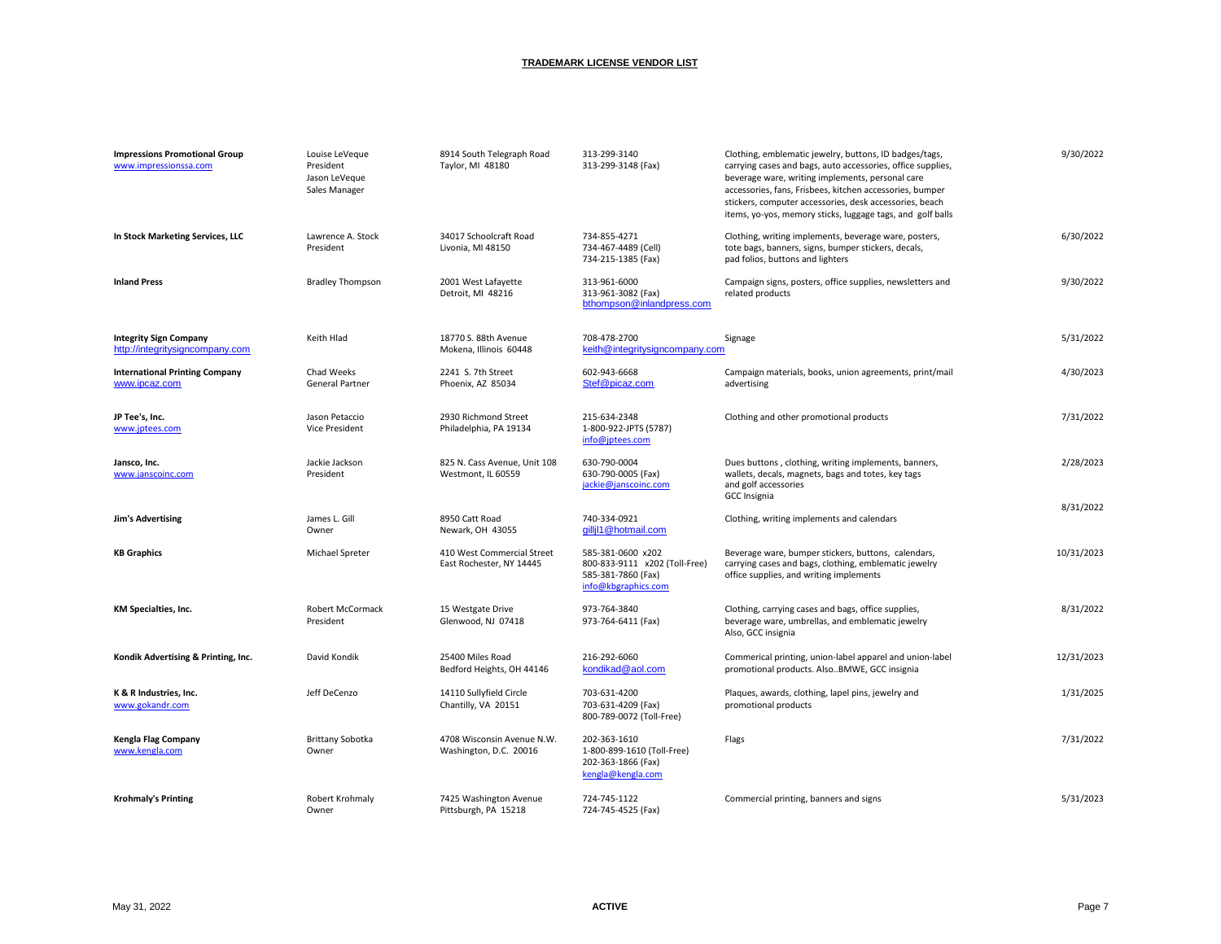| <b>Impressions Promotional Group</b><br>www.impressionssa.com    | Louise LeVeque<br>President<br>Jason LeVeque<br>Sales Manager | 8914 South Telegraph Road<br>Taylor, MI 48180          | 313-299-3140<br>313-299-3148 (Fax)                                                              | Clothing, emblematic jewelry, buttons, ID badges/tags,<br>carrying cases and bags, auto accessories, office supplies,<br>beverage ware, writing implements, personal care<br>accessories, fans, Frisbees, kitchen accessories, bumper<br>stickers, computer accessories, desk accessories, beach<br>items, yo-yos, memory sticks, luggage tags, and golf balls | 9/30/2022  |
|------------------------------------------------------------------|---------------------------------------------------------------|--------------------------------------------------------|-------------------------------------------------------------------------------------------------|----------------------------------------------------------------------------------------------------------------------------------------------------------------------------------------------------------------------------------------------------------------------------------------------------------------------------------------------------------------|------------|
| In Stock Marketing Services, LLC                                 | Lawrence A. Stock<br>President                                | 34017 Schoolcraft Road<br>Livonia, MI 48150            | 734-855-4271<br>734-467-4489 (Cell)<br>734-215-1385 (Fax)                                       | Clothing, writing implements, beverage ware, posters,<br>tote bags, banners, signs, bumper stickers, decals,<br>pad folios, buttons and lighters                                                                                                                                                                                                               | 6/30/2022  |
| <b>Inland Press</b>                                              | <b>Bradley Thompson</b>                                       | 2001 West Lafayette<br>Detroit, MI 48216               | 313-961-6000<br>313-961-3082 (Fax)<br>bthompson@inlandpress.com                                 | Campaign signs, posters, office supplies, newsletters and<br>related products                                                                                                                                                                                                                                                                                  | 9/30/2022  |
| <b>Integrity Sign Company</b><br>http://integritysigncompany.com | Keith Hlad                                                    | 18770 S. 88th Avenue<br>Mokena, Illinois 60448         | 708-478-2700<br>keith@integritysigncompany.com                                                  | Signage                                                                                                                                                                                                                                                                                                                                                        | 5/31/2022  |
| <b>International Printing Company</b><br>www.ipcaz.com           | Chad Weeks<br>General Partner                                 | 2241 S. 7th Street<br>Phoenix, AZ 85034                | 602-943-6668<br>Stef@picaz.com                                                                  | Campaign materials, books, union agreements, print/mail<br>advertising                                                                                                                                                                                                                                                                                         | 4/30/2023  |
| JP Tee's, Inc.<br>www.jptees.com                                 | Jason Petaccio<br><b>Vice President</b>                       | 2930 Richmond Street<br>Philadelphia, PA 19134         | 215-634-2348<br>1-800-922-JPTS (5787)<br>info@jptees.com                                        | Clothing and other promotional products                                                                                                                                                                                                                                                                                                                        | 7/31/2022  |
| Jansco, Inc.<br>www.janscoinc.com                                | Jackie Jackson<br>President                                   | 825 N. Cass Avenue, Unit 108<br>Westmont, IL 60559     | 630-790-0004<br>630-790-0005 (Fax)<br>jackie@janscoinc.com                                      | Dues buttons, clothing, writing implements, banners,<br>wallets, decals, magnets, bags and totes, key tags<br>and golf accessories<br><b>GCC Insignia</b>                                                                                                                                                                                                      | 2/28/2023  |
| <b>Jim's Advertising</b>                                         | James L. Gill<br>Owner                                        | 8950 Catt Road<br>Newark, OH 43055                     | 740-334-0921<br>gillil1@hotmail.com                                                             | Clothing, writing implements and calendars                                                                                                                                                                                                                                                                                                                     | 8/31/2022  |
| <b>KB Graphics</b>                                               | Michael Spreter                                               | 410 West Commercial Street<br>East Rochester, NY 14445 | 585-381-0600 x202<br>800-833-9111 x202 (Toll-Free)<br>585-381-7860 (Fax)<br>info@kbgraphics.com | Beverage ware, bumper stickers, buttons, calendars,<br>carrying cases and bags, clothing, emblematic jewelry<br>office supplies, and writing implements                                                                                                                                                                                                        | 10/31/2023 |
| <b>KM Specialties, Inc.</b>                                      | Robert McCormack<br>President                                 | 15 Westgate Drive<br>Glenwood, NJ 07418                | 973-764-3840<br>973-764-6411 (Fax)                                                              | Clothing, carrying cases and bags, office supplies,<br>beverage ware, umbrellas, and emblematic jewelry<br>Also, GCC insignia                                                                                                                                                                                                                                  | 8/31/2022  |
| Kondik Advertising & Printing, Inc.                              | David Kondik                                                  | 25400 Miles Road<br>Bedford Heights, OH 44146          | 216-292-6060<br>kondikad@aol.com                                                                | Commerical printing, union-label apparel and union-label<br>promotional products. AlsoBMWE, GCC insignia                                                                                                                                                                                                                                                       | 12/31/2023 |
| K & R Industries, Inc.<br>www.gokandr.com                        | Jeff DeCenzo                                                  | 14110 Sullyfield Circle<br>Chantilly, VA 20151         | 703-631-4200<br>703-631-4209 (Fax)<br>800-789-0072 (Toll-Free)                                  | Plaques, awards, clothing, lapel pins, jewelry and<br>promotional products                                                                                                                                                                                                                                                                                     | 1/31/2025  |
| Kengla Flag Company<br>www.kengla.com                            | Brittany Sobotka<br>Owner                                     | 4708 Wisconsin Avenue N.W.<br>Washington, D.C. 20016   | 202-363-1610<br>1-800-899-1610 (Toll-Free)<br>202-363-1866 (Fax)<br>kengla@kengla.com           | Flags                                                                                                                                                                                                                                                                                                                                                          | 7/31/2022  |
| <b>Krohmaly's Printing</b>                                       | Robert Krohmaly<br>Owner                                      | 7425 Washington Avenue<br>Pittsburgh, PA 15218         | 724-745-1122<br>724-745-4525 (Fax)                                                              | Commercial printing, banners and signs                                                                                                                                                                                                                                                                                                                         | 5/31/2023  |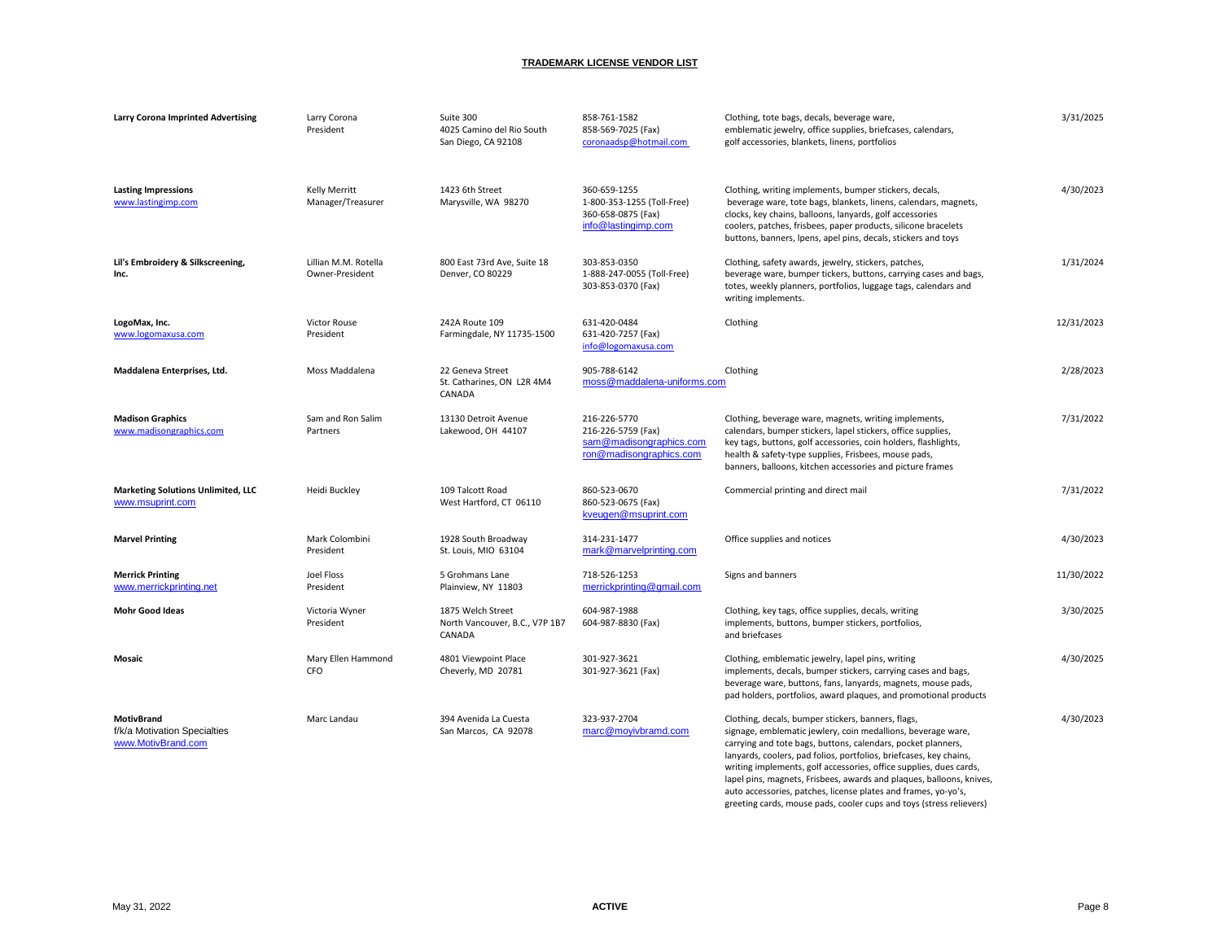| <b>Larry Corona Imprinted Advertising</b>                               | Larry Corona<br>President               | Suite 300<br>4025 Camino del Rio South<br>San Diego, CA 92108 | 858-761-1582<br>858-569-7025 (Fax)<br>coronaadsp@hotmail.com                             | Clothing, tote bags, decals, beverage ware,<br>emblematic jewelry, office supplies, briefcases, calendars,<br>golf accessories, blankets, linens, portfolios                                                                                                                                                                                                                                                                                                                                                                                    | 3/31/2025  |
|-------------------------------------------------------------------------|-----------------------------------------|---------------------------------------------------------------|------------------------------------------------------------------------------------------|-------------------------------------------------------------------------------------------------------------------------------------------------------------------------------------------------------------------------------------------------------------------------------------------------------------------------------------------------------------------------------------------------------------------------------------------------------------------------------------------------------------------------------------------------|------------|
| <b>Lasting Impressions</b><br>www.lastingimp.com                        | Kelly Merritt<br>Manager/Treasurer      | 1423 6th Street<br>Marysville, WA 98270                       | 360-659-1255<br>1-800-353-1255 (Toll-Free)<br>360-658-0875 (Fax)<br>info@lastingimp.com  | Clothing, writing implements, bumper stickers, decals,<br>beverage ware, tote bags, blankets, linens, calendars, magnets,<br>clocks, key chains, balloons, lanyards, golf accessories<br>coolers, patches, frisbees, paper products, silicone bracelets<br>buttons, banners, Ipens, apel pins, decals, stickers and toys                                                                                                                                                                                                                        | 4/30/2023  |
| Lil's Embroidery & Silkscreening,<br>Inc.                               | Lillian M.M. Rotella<br>Owner-President | 800 East 73rd Ave, Suite 18<br>Denver, CO 80229               | 303-853-0350<br>1-888-247-0055 (Toll-Free)<br>303-853-0370 (Fax)                         | Clothing, safety awards, jewelry, stickers, patches,<br>beverage ware, bumper tickers, buttons, carrying cases and bags,<br>totes, weekly planners, portfolios, luggage tags, calendars and<br>writing implements.                                                                                                                                                                                                                                                                                                                              | 1/31/2024  |
| LogoMax, Inc.<br>www.logomaxusa.com                                     | <b>Victor Rouse</b><br>President        | 242A Route 109<br>Farmingdale, NY 11735-1500                  | 631-420-0484<br>631-420-7257 (Fax)<br>info@logomaxusa.com                                | Clothing                                                                                                                                                                                                                                                                                                                                                                                                                                                                                                                                        | 12/31/2023 |
| Maddalena Enterprises, Ltd.                                             | Moss Maddalena                          | 22 Geneva Street<br>St. Catharines, ON L2R 4M4<br>CANADA      | 905-788-6142<br>moss@maddalena-uniforms.com                                              | Clothing                                                                                                                                                                                                                                                                                                                                                                                                                                                                                                                                        | 2/28/2023  |
| <b>Madison Graphics</b><br>www.madisongraphics.com                      | Sam and Ron Salim<br>Partners           | 13130 Detroit Avenue<br>Lakewood, OH 44107                    | 216-226-5770<br>216-226-5759 (Fax)<br>sam@madisongraphics.com<br>ron@madisongraphics.com | Clothing, beverage ware, magnets, writing implements,<br>calendars, bumper stickers, lapel stickers, office supplies,<br>key tags, buttons, golf accessories, coin holders, flashlights,<br>health & safety-type supplies, Frisbees, mouse pads,<br>banners, balloons, kitchen accessories and picture frames                                                                                                                                                                                                                                   | 7/31/2022  |
| <b>Marketing Solutions Unlimited, LLC</b><br>www.msuprint.com           | Heidi Buckley                           | 109 Talcott Road<br>West Hartford, CT 06110                   | 860-523-0670<br>860-523-0675 (Fax)<br>kveugen@msuprint.com                               | Commercial printing and direct mail                                                                                                                                                                                                                                                                                                                                                                                                                                                                                                             | 7/31/2022  |
| <b>Marvel Printing</b>                                                  | Mark Colombini<br>President             | 1928 South Broadway<br>St. Louis, MIO 63104                   | 314-231-1477<br>mark@marvelprinting.com                                                  | Office supplies and notices                                                                                                                                                                                                                                                                                                                                                                                                                                                                                                                     | 4/30/2023  |
| <b>Merrick Printing</b><br>www.merrickprinting.net                      | Joel Floss<br>President                 | 5 Grohmans Lane<br>Plainview, NY 11803                        | 718-526-1253<br>merrickprinting@gmail.com                                                | Signs and banners                                                                                                                                                                                                                                                                                                                                                                                                                                                                                                                               | 11/30/2022 |
| <b>Mohr Good Ideas</b>                                                  | Victoria Wyner<br>President             | 1875 Welch Street<br>North Vancouver, B.C., V7P 1B7<br>CANADA | 604-987-1988<br>604-987-8830 (Fax)                                                       | Clothing, key tags, office supplies, decals, writing<br>implements, buttons, bumper stickers, portfolios,<br>and briefcases                                                                                                                                                                                                                                                                                                                                                                                                                     | 3/30/2025  |
| Mosaic                                                                  | Mary Ellen Hammond<br>CFO               | 4801 Viewpoint Place<br>Cheverly, MD 20781                    | 301-927-3621<br>301-927-3621 (Fax)                                                       | Clothing, emblematic jewelry, lapel pins, writing<br>implements, decals, bumper stickers, carrying cases and bags,<br>beverage ware, buttons, fans, lanyards, magnets, mouse pads,<br>pad holders, portfolios, award plaques, and promotional products                                                                                                                                                                                                                                                                                          | 4/30/2025  |
| <b>MotivBrand</b><br>f/k/a Motivation Specialties<br>www.MotivBrand.com | Marc Landau                             | 394 Avenida La Cuesta<br>San Marcos, CA 92078                 | 323-937-2704<br>marc@moyivbramd.com                                                      | Clothing, decals, bumper stickers, banners, flags,<br>signage, emblematic jewlery, coin medallions, beverage ware,<br>carrying and tote bags, buttons, calendars, pocket planners,<br>lanyards, coolers, pad folios, portfolios, briefcases, key chains,<br>writing implements, golf accessories, office supplies, dues cards,<br>lapel pins, magnets, Frisbees, awards and plaques, balloons, knives,<br>auto accessories, patches, license plates and frames, yo-yo's,<br>greeting cards, mouse pads, cooler cups and toys (stress relievers) | 4/30/2023  |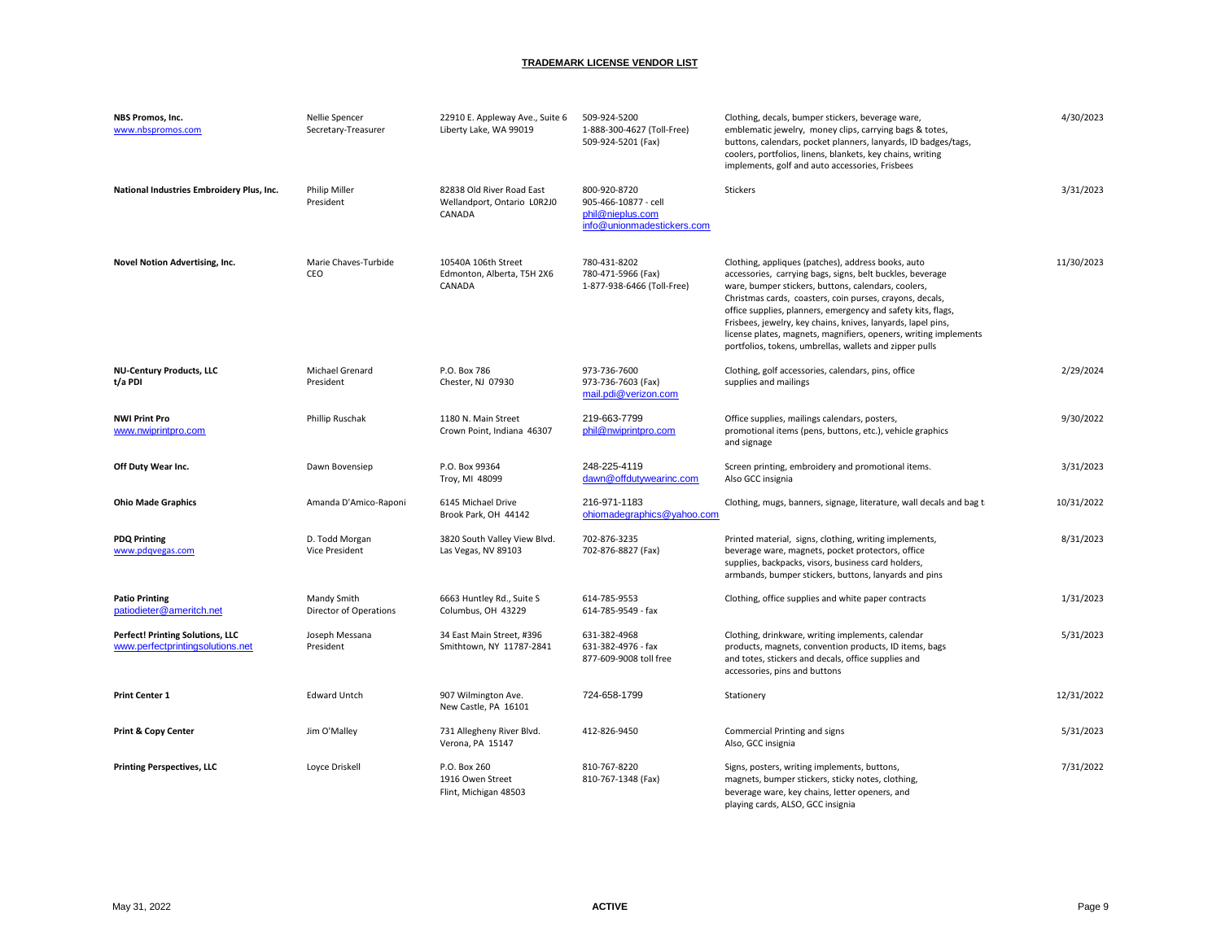| NBS Promos, Inc.<br>www.nbspromos.com                                | Nellie Spencer<br>Secretary-Treasurer   | 22910 E. Appleway Ave., Suite 6<br>Liberty Lake, WA 99019          | 509-924-5200<br>1-888-300-4627 (Toll-Free)<br>509-924-5201 (Fax)                       | Clothing, decals, bumper stickers, beverage ware,<br>emblematic jewelry, money clips, carrying bags & totes,<br>buttons, calendars, pocket planners, lanyards, ID badges/tags,<br>coolers, portfolios, linens, blankets, key chains, writing<br>implements, golf and auto accessories, Frisbees                                                                                                                                                                                                   | 4/30/2023  |
|----------------------------------------------------------------------|-----------------------------------------|--------------------------------------------------------------------|----------------------------------------------------------------------------------------|---------------------------------------------------------------------------------------------------------------------------------------------------------------------------------------------------------------------------------------------------------------------------------------------------------------------------------------------------------------------------------------------------------------------------------------------------------------------------------------------------|------------|
| National Industries Embroidery Plus, Inc.                            | <b>Philip Miller</b><br>President       | 82838 Old River Road East<br>Wellandport, Ontario LOR2J0<br>CANADA | 800-920-8720<br>905-466-10877 - cell<br>phil@nieplus.com<br>info@unionmadestickers.com | Stickers                                                                                                                                                                                                                                                                                                                                                                                                                                                                                          | 3/31/2023  |
| Novel Notion Advertising, Inc.                                       | Marie Chaves-Turbide<br>CEO             | 10540A 106th Street<br>Edmonton, Alberta, T5H 2X6<br>CANADA        | 780-431-8202<br>780-471-5966 (Fax)<br>1-877-938-6466 (Toll-Free)                       | Clothing, appliques (patches), address books, auto<br>accessories, carrying bags, signs, belt buckles, beverage<br>ware, bumper stickers, buttons, calendars, coolers,<br>Christmas cards, coasters, coin purses, crayons, decals,<br>office supplies, planners, emergency and safety kits, flags,<br>Frisbees, jewelry, key chains, knives, lanyards, lapel pins,<br>license plates, magnets, magnifiers, openers, writing implements<br>portfolios, tokens, umbrellas, wallets and zipper pulls | 11/30/2023 |
| <b>NU-Century Products, LLC</b><br>t/a PDI                           | Michael Grenard<br>President            | P.O. Box 786<br>Chester, NJ 07930                                  | 973-736-7600<br>973-736-7603 (Fax)<br>mail.pdi@verizon.com                             | Clothing, golf accessories, calendars, pins, office<br>supplies and mailings                                                                                                                                                                                                                                                                                                                                                                                                                      | 2/29/2024  |
| <b>NWI Print Pro</b><br>www.nwiprintpro.com                          | Phillip Ruschak                         | 1180 N. Main Street<br>Crown Point, Indiana 46307                  | 219-663-7799<br>phil@nwiprintpro.com                                                   | Office supplies, mailings calendars, posters,<br>promotional items (pens, buttons, etc.), vehicle graphics<br>and signage                                                                                                                                                                                                                                                                                                                                                                         | 9/30/2022  |
| Off Duty Wear Inc.                                                   | Dawn Bovensiep                          | P.O. Box 99364<br>Troy, MI 48099                                   | 248-225-4119<br>dawn@offdutywearinc.com                                                | Screen printing, embroidery and promotional items.<br>Also GCC insignia                                                                                                                                                                                                                                                                                                                                                                                                                           | 3/31/2023  |
| <b>Ohio Made Graphics</b>                                            | Amanda D'Amico-Raponi                   | 6145 Michael Drive<br>Brook Park, OH 44142                         | 216-971-1183<br>ohiomadegraphics@yahoo.com                                             | Clothing, mugs, banners, signage, literature, wall decals and bag ti                                                                                                                                                                                                                                                                                                                                                                                                                              | 10/31/2022 |
| <b>PDQ Printing</b><br>www.pdgvegas.com                              | D. Todd Morgan<br><b>Vice President</b> | 3820 South Valley View Blvd.<br>Las Vegas, NV 89103                | 702-876-3235<br>702-876-8827 (Fax)                                                     | Printed material, signs, clothing, writing implements,<br>beverage ware, magnets, pocket protectors, office<br>supplies, backpacks, visors, business card holders,<br>armbands, bumper stickers, buttons, lanyards and pins                                                                                                                                                                                                                                                                       | 8/31/2023  |
| <b>Patio Printing</b><br>patiodieter@ameritch.net                    | Mandy Smith<br>Director of Operations   | 6663 Huntley Rd., Suite S<br>Columbus, OH 43229                    | 614-785-9553<br>614-785-9549 - fax                                                     | Clothing, office supplies and white paper contracts                                                                                                                                                                                                                                                                                                                                                                                                                                               | 1/31/2023  |
| Perfect! Printing Solutions, LLC<br>www.perfectprintingsolutions.net | Joseph Messana<br>President             | 34 East Main Street, #396<br>Smithtown, NY 11787-2841              | 631-382-4968<br>631-382-4976 - fax<br>877-609-9008 toll free                           | Clothing, drinkware, writing implements, calendar<br>products, magnets, convention products, ID items, bags<br>and totes, stickers and decals, office supplies and<br>accessories, pins and buttons                                                                                                                                                                                                                                                                                               | 5/31/2023  |
| <b>Print Center 1</b>                                                | <b>Edward Untch</b>                     | 907 Wilmington Ave.<br>New Castle, PA 16101                        | 724-658-1799                                                                           | Stationery                                                                                                                                                                                                                                                                                                                                                                                                                                                                                        | 12/31/2022 |
| <b>Print &amp; Copy Center</b>                                       | Jim O'Malley                            | 731 Allegheny River Blvd.<br>Verona, PA 15147                      | 412-826-9450                                                                           | Commercial Printing and signs<br>Also, GCC insignia                                                                                                                                                                                                                                                                                                                                                                                                                                               | 5/31/2023  |
| <b>Printing Perspectives, LLC</b>                                    | Loyce Driskell                          | P.O. Box 260<br>1916 Owen Street<br>Flint, Michigan 48503          | 810-767-8220<br>810-767-1348 (Fax)                                                     | Signs, posters, writing implements, buttons,<br>magnets, bumper stickers, sticky notes, clothing,<br>beverage ware, key chains, letter openers, and<br>playing cards, ALSO, GCC insignia                                                                                                                                                                                                                                                                                                          | 7/31/2022  |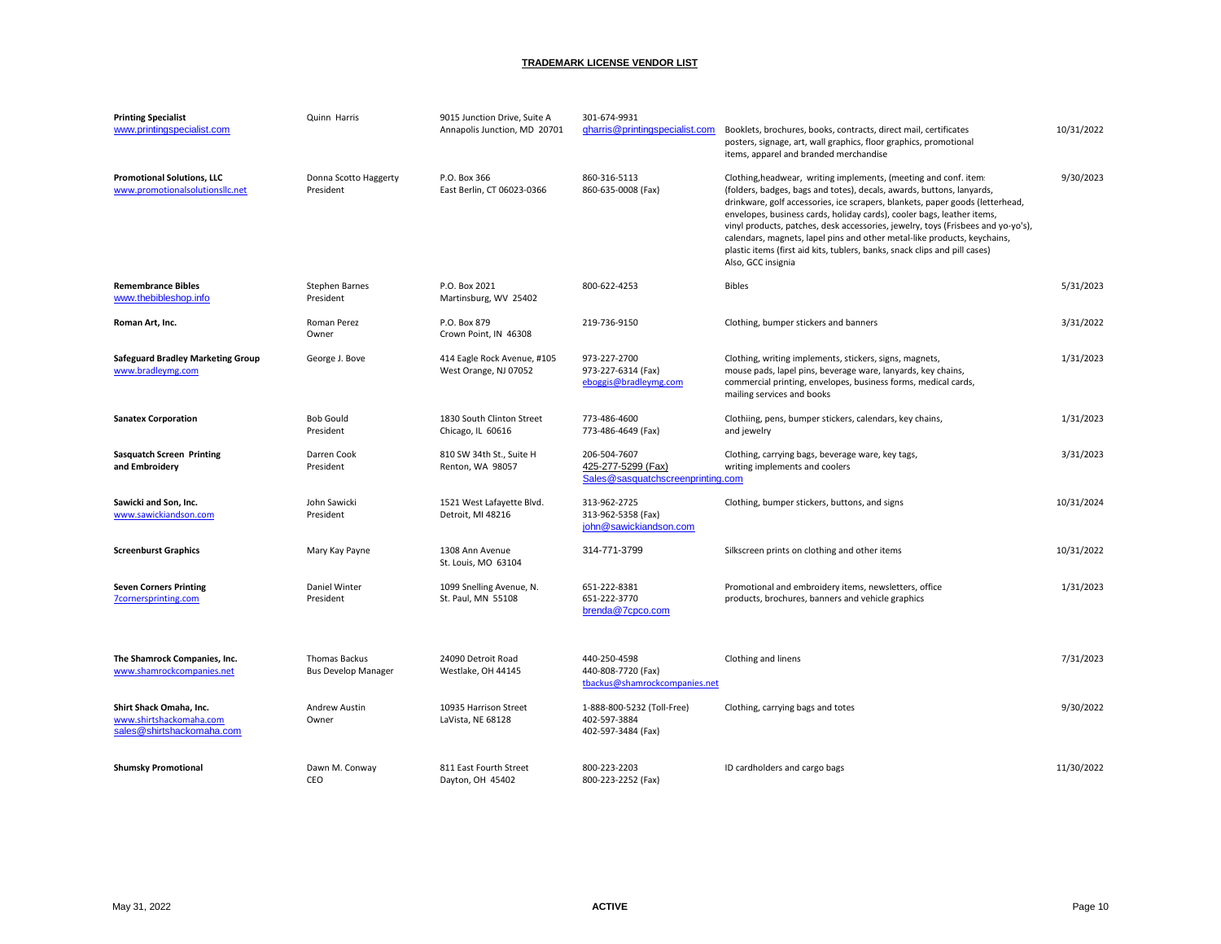| <b>Printing Specialist</b><br>www.printingspecialist.com                        | Quinn Harris                                       | 9015 Junction Drive, Suite A<br>Annapolis Junction, MD 20701 | 301-674-9931<br>gharris@printingspecialist.com                          | Booklets, brochures, books, contracts, direct mail, certificates<br>posters, signage, art, wall graphics, floor graphics, promotional<br>items, apparel and branded merchandise                                                                                                                                                                                                                                                                                                                                                                                          | 10/31/2022 |
|---------------------------------------------------------------------------------|----------------------------------------------------|--------------------------------------------------------------|-------------------------------------------------------------------------|--------------------------------------------------------------------------------------------------------------------------------------------------------------------------------------------------------------------------------------------------------------------------------------------------------------------------------------------------------------------------------------------------------------------------------------------------------------------------------------------------------------------------------------------------------------------------|------------|
| <b>Promotional Solutions, LLC</b><br>www.promotionalsolutionsllc.net            | Donna Scotto Haggerty<br>President                 | P.O. Box 366<br>East Berlin, CT 06023-0366                   | 860-316-5113<br>860-635-0008 (Fax)                                      | Clothing, headwear, writing implements, (meeting and conf. item:<br>(folders, badges, bags and totes), decals, awards, buttons, lanyards,<br>drinkware, golf accessories, ice scrapers, blankets, paper goods (letterhead,<br>envelopes, business cards, holiday cards), cooler bags, leather items,<br>vinyl products, patches, desk accessories, jewelry, toys (Frisbees and yo-yo's),<br>calendars, magnets, lapel pins and other metal-like products, keychains,<br>plastic items (first aid kits, tublers, banks, snack clips and pill cases)<br>Also, GCC insignia | 9/30/2023  |
| <b>Remembrance Bibles</b><br>www.thebibleshop.info                              | Stephen Barnes<br>President                        | P.O. Box 2021<br>Martinsburg, WV 25402                       | 800-622-4253                                                            | <b>Bibles</b>                                                                                                                                                                                                                                                                                                                                                                                                                                                                                                                                                            | 5/31/2023  |
| Roman Art, Inc.                                                                 | Roman Perez<br>Owner                               | P.O. Box 879<br>Crown Point, IN 46308                        | 219-736-9150                                                            | Clothing, bumper stickers and banners                                                                                                                                                                                                                                                                                                                                                                                                                                                                                                                                    | 3/31/2022  |
| <b>Safeguard Bradley Marketing Group</b><br>www.bradleymg.com                   | George J. Bove                                     | 414 Eagle Rock Avenue, #105<br>West Orange, NJ 07052         | 973-227-2700<br>973-227-6314 (Fax)<br>eboggis@bradleymg.com             | Clothing, writing implements, stickers, signs, magnets,<br>mouse pads, lapel pins, beverage ware, lanyards, key chains,<br>commercial printing, envelopes, business forms, medical cards,<br>mailing services and books                                                                                                                                                                                                                                                                                                                                                  | 1/31/2023  |
| <b>Sanatex Corporation</b>                                                      | <b>Bob Gould</b><br>President                      | 1830 South Clinton Street<br>Chicago, IL 60616               | 773-486-4600<br>773-486-4649 (Fax)                                      | Clothiing, pens, bumper stickers, calendars, key chains,<br>and jewelry                                                                                                                                                                                                                                                                                                                                                                                                                                                                                                  | 1/31/2023  |
| <b>Sasquatch Screen Printing</b><br>and Embroidery                              | Darren Cook<br>President                           | 810 SW 34th St., Suite H<br>Renton, WA 98057                 | 206-504-7607<br>425-277-5299 (Fax)<br>Sales@sasquatchscreenprinting.com | Clothing, carrying bags, beverage ware, key tags,<br>writing implements and coolers                                                                                                                                                                                                                                                                                                                                                                                                                                                                                      | 3/31/2023  |
| Sawicki and Son, Inc.<br>www.sawickiandson.com                                  | John Sawicki<br>President                          | 1521 West Lafayette Blvd.<br>Detroit, MI 48216               | 313-962-2725<br>313-962-5358 (Fax)<br>john@sawickiandson.com            | Clothing, bumper stickers, buttons, and signs                                                                                                                                                                                                                                                                                                                                                                                                                                                                                                                            | 10/31/2024 |
| <b>Screenburst Graphics</b>                                                     | Mary Kay Payne                                     | 1308 Ann Avenue<br>St. Louis, MO 63104                       | 314-771-3799                                                            | Silkscreen prints on clothing and other items                                                                                                                                                                                                                                                                                                                                                                                                                                                                                                                            | 10/31/2022 |
| <b>Seven Corners Printing</b><br>7cornersprinting.com                           | Daniel Winter<br>President                         | 1099 Snelling Avenue, N.<br>St. Paul, MN 55108               | 651-222-8381<br>651-222-3770<br>brenda@7cpco.com                        | Promotional and embroidery items, newsletters, office<br>products, brochures, banners and vehicle graphics                                                                                                                                                                                                                                                                                                                                                                                                                                                               | 1/31/2023  |
| The Shamrock Companies, Inc.<br>www.shamrockcompanies.net                       | <b>Thomas Backus</b><br><b>Bus Develop Manager</b> | 24090 Detroit Road<br>Westlake, OH 44145                     | 440-250-4598<br>440-808-7720 (Fax)<br>tbackus@shamrockcompanies.net     | Clothing and linens                                                                                                                                                                                                                                                                                                                                                                                                                                                                                                                                                      | 7/31/2023  |
| Shirt Shack Omaha, Inc.<br>www.shirtshackomaha.com<br>sales@shirtshackomaha.com | Andrew Austin<br>Owner                             | 10935 Harrison Street<br>LaVista, NE 68128                   | 1-888-800-5232 (Toll-Free)<br>402-597-3884<br>402-597-3484 (Fax)        | Clothing, carrying bags and totes                                                                                                                                                                                                                                                                                                                                                                                                                                                                                                                                        | 9/30/2022  |
| <b>Shumsky Promotional</b>                                                      | Dawn M. Conway<br>CEO                              | 811 East Fourth Street<br>Dayton, OH 45402                   | 800-223-2203<br>800-223-2252 (Fax)                                      | ID cardholders and cargo bags                                                                                                                                                                                                                                                                                                                                                                                                                                                                                                                                            | 11/30/2022 |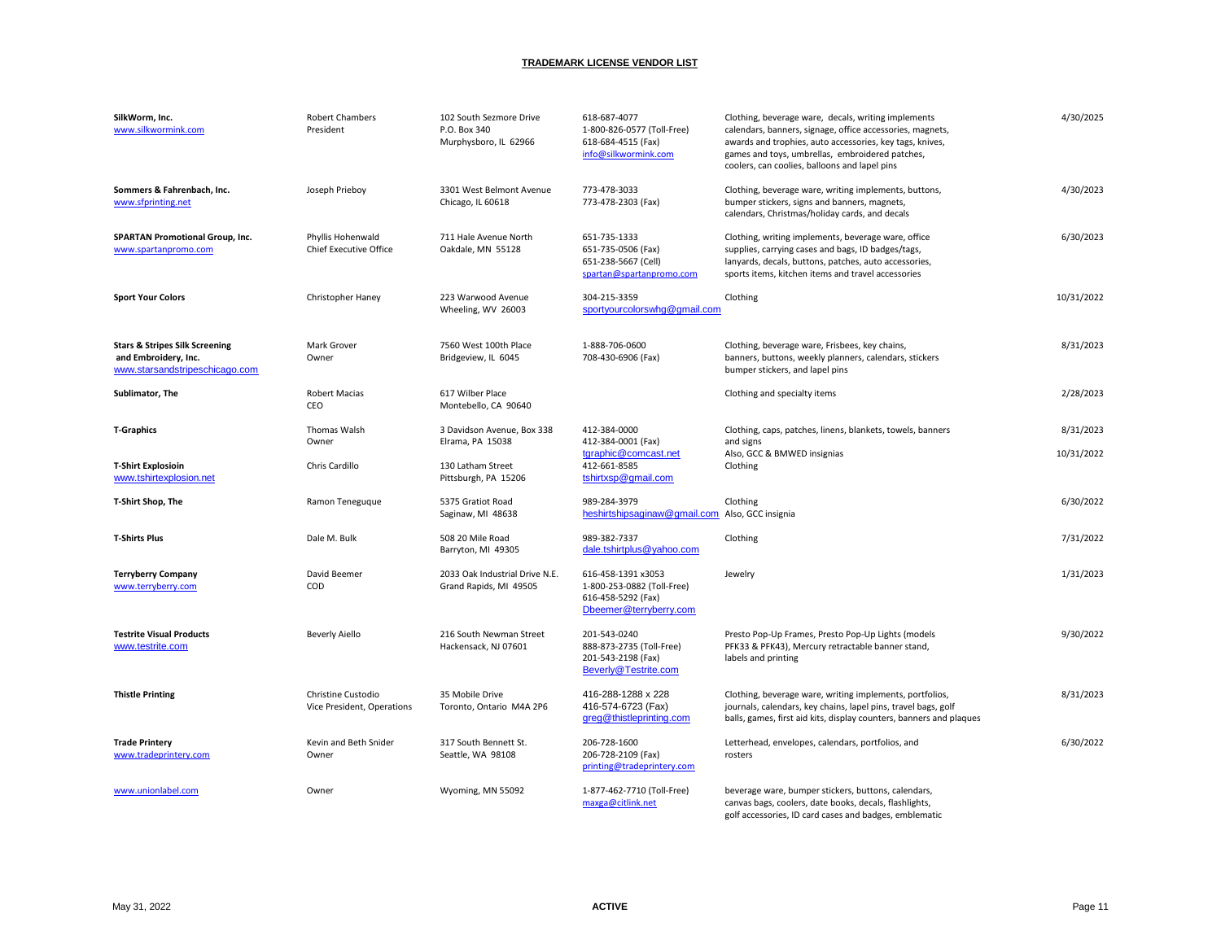| SilkWorm, Inc.<br>www.silkwormink.com                                                               | <b>Robert Chambers</b><br>President                | 102 South Sezmore Drive<br>P.O. Box 340<br>Murphysboro, IL 62966 | 618-687-4077<br>1-800-826-0577 (Toll-Free)<br>618-684-4515 (Fax)<br>info@silkwormink.com         | Clothing, beverage ware, decals, writing implements<br>calendars, banners, signage, office accessories, magnets,<br>awards and trophies, auto accessories, key tags, knives,<br>games and toys, umbrellas, embroidered patches,<br>coolers, can coolies, balloons and lapel pins | 4/30/2025  |
|-----------------------------------------------------------------------------------------------------|----------------------------------------------------|------------------------------------------------------------------|--------------------------------------------------------------------------------------------------|----------------------------------------------------------------------------------------------------------------------------------------------------------------------------------------------------------------------------------------------------------------------------------|------------|
| Sommers & Fahrenbach, Inc.<br>www.sfprinting.net                                                    | Joseph Prieboy                                     | 3301 West Belmont Avenue<br>Chicago, IL 60618                    | 773-478-3033<br>773-478-2303 (Fax)                                                               | Clothing, beverage ware, writing implements, buttons,<br>bumper stickers, signs and banners, magnets,<br>calendars, Christmas/holiday cards, and decals                                                                                                                          | 4/30/2023  |
| <b>SPARTAN Promotional Group, Inc.</b><br>www.spartanpromo.com                                      | Phyllis Hohenwald<br><b>Chief Executive Office</b> | 711 Hale Avenue North<br>Oakdale, MN 55128                       | 651-735-1333<br>651-735-0506 (Fax)<br>651-238-5667 (Cell)<br>spartan@spartanpromo.com            | Clothing, writing implements, beverage ware, office<br>supplies, carrying cases and bags, ID badges/tags,<br>lanyards, decals, buttons, patches, auto accessories,<br>sports items, kitchen items and travel accessories                                                         | 6/30/2023  |
| <b>Sport Your Colors</b>                                                                            | Christopher Haney                                  | 223 Warwood Avenue<br>Wheeling, WV 26003                         | 304-215-3359<br>sportyourcolorswhg@gmail.com                                                     | Clothing                                                                                                                                                                                                                                                                         | 10/31/2022 |
| <b>Stars &amp; Stripes Silk Screening</b><br>and Embroidery, Inc.<br>www.starsandstripeschicago.com | Mark Grover<br>Owner                               | 7560 West 100th Place<br>Bridgeview, IL 6045                     | 1-888-706-0600<br>708-430-6906 (Fax)                                                             | Clothing, beverage ware, Frisbees, key chains,<br>banners, buttons, weekly planners, calendars, stickers<br>bumper stickers, and lapel pins                                                                                                                                      | 8/31/2023  |
| Sublimator, The                                                                                     | <b>Robert Macias</b><br>CEO                        | 617 Wilber Place<br>Montebello, CA 90640                         |                                                                                                  | Clothing and specialty items                                                                                                                                                                                                                                                     | 2/28/2023  |
| <b>T-Graphics</b>                                                                                   | Thomas Walsh<br>Owner                              | 3 Davidson Avenue, Box 338<br>Elrama, PA 15038                   | 412-384-0000<br>412-384-0001 (Fax)                                                               | Clothing, caps, patches, linens, blankets, towels, banners<br>and signs                                                                                                                                                                                                          | 8/31/2023  |
| <b>T-Shirt Explosioin</b><br>www.tshirtexplosion.net                                                | Chris Cardillo                                     | 130 Latham Street<br>Pittsburgh, PA 15206                        | tgraphic@comcast.net<br>412-661-8585<br>tshirtxsp@gmail.com                                      | Also, GCC & BMWED insignias<br>Clothing                                                                                                                                                                                                                                          | 10/31/2022 |
| T-Shirt Shop, The                                                                                   | Ramon Teneguque                                    | 5375 Gratiot Road<br>Saginaw, MI 48638                           | 989-284-3979<br>heshirtshipsaginaw@gmail.com Also, GCC insignia                                  | Clothing                                                                                                                                                                                                                                                                         | 6/30/2022  |
| <b>T-Shirts Plus</b>                                                                                | Dale M. Bulk                                       | 508 20 Mile Road<br>Barryton, MI 49305                           | 989-382-7337<br>dale.tshirtplus@yahoo.com                                                        | Clothing                                                                                                                                                                                                                                                                         | 7/31/2022  |
| <b>Terryberry Company</b><br>www.terryberry.com                                                     | David Beemer<br>COD                                | 2033 Oak Industrial Drive N.E.<br>Grand Rapids, MI 49505         | 616-458-1391 x3053<br>1-800-253-0882 (Toll-Free)<br>616-458-5292 (Fax)<br>Dbeemer@terryberry.com | Jewelry                                                                                                                                                                                                                                                                          | 1/31/2023  |
| <b>Testrite Visual Products</b><br>www.testrite.com                                                 | <b>Beverly Aiello</b>                              | 216 South Newman Street<br>Hackensack, NJ 07601                  | 201-543-0240<br>888-873-2735 (Toll-Free)<br>201-543-2198 (Fax)<br>Beverly@Testrite.com           | Presto Pop-Up Frames, Presto Pop-Up Lights (models<br>PFK33 & PFK43), Mercury retractable banner stand,<br>labels and printing                                                                                                                                                   | 9/30/2022  |
| <b>Thistle Printing</b>                                                                             | Christine Custodio<br>Vice President, Operations   | 35 Mobile Drive<br>Toronto, Ontario M4A 2P6                      | 416-288-1288 x 228<br>416-574-6723 (Fax)<br>greg@thistleprinting.com                             | Clothing, beverage ware, writing implements, portfolios,<br>journals, calendars, key chains, lapel pins, travel bags, golf<br>balls, games, first aid kits, display counters, banners and plaques                                                                                | 8/31/2023  |
| <b>Trade Printery</b><br>www.tradeprintery.com                                                      | Kevin and Beth Snider<br>Owner                     | 317 South Bennett St.<br>Seattle, WA 98108                       | 206-728-1600<br>206-728-2109 (Fax)<br>printing@tradeprintery.com                                 | Letterhead, envelopes, calendars, portfolios, and<br>rosters                                                                                                                                                                                                                     | 6/30/2022  |
| www.unionlabel.com                                                                                  | Owner                                              | Wyoming, MN 55092                                                | 1-877-462-7710 (Toll-Free)<br>maxga@citlink.net                                                  | beverage ware, bumper stickers, buttons, calendars,<br>canvas bags, coolers, date books, decals, flashlights,<br>golf accessories, ID card cases and badges, emblematic                                                                                                          |            |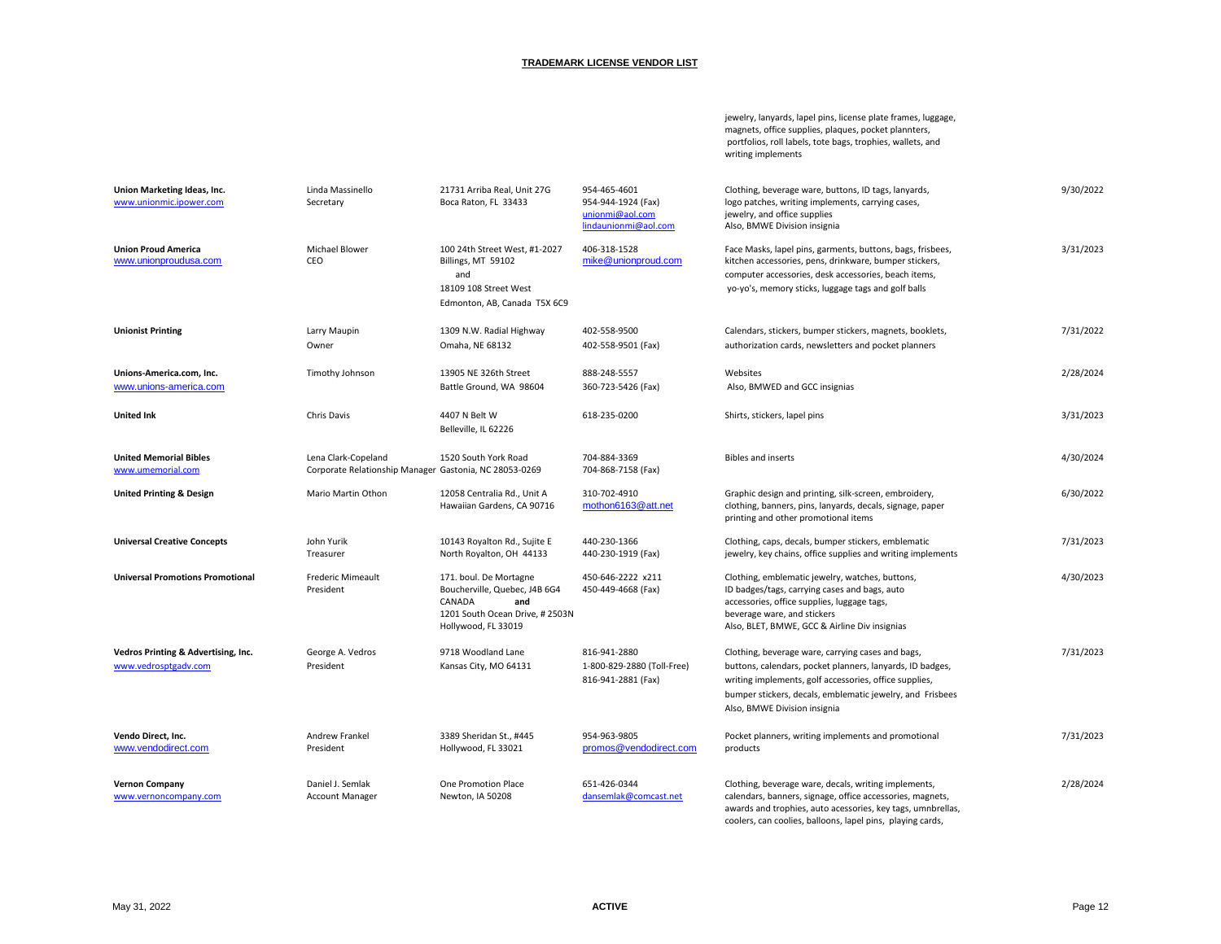jewelry, lanyards, lapel pins, license plate frames, luggage, magnets, office supplies, plaques, pocket plannters, portfolios, roll labels, tote bags, trophies, wallets, and writing implements

| Union Marketing Ideas, Inc.<br>www.unionmic.ipower.com      | Linda Massinello<br>Secretary                                                 | 21731 Arriba Real, Unit 27G<br>Boca Raton, FL 33433                                                                               | 954-465-4601<br>954-944-1924 (Fax)<br>unionmi@aol.com<br>lindaunionmi@aol.com | Clothing, beverage ware, buttons, ID tags, lanyards,<br>logo patches, writing implements, carrying cases,<br>jewelry, and office supplies<br>Also, BMWE Division insignia                                                                                             | 9/30/2022 |
|-------------------------------------------------------------|-------------------------------------------------------------------------------|-----------------------------------------------------------------------------------------------------------------------------------|-------------------------------------------------------------------------------|-----------------------------------------------------------------------------------------------------------------------------------------------------------------------------------------------------------------------------------------------------------------------|-----------|
| <b>Union Proud America</b><br>www.unionproudusa.com         | Michael Blower<br>CEO                                                         | 100 24th Street West, #1-2027<br>Billings, MT 59102<br>and<br>18109 108 Street West<br>Edmonton, AB, Canada T5X 6C9               | 406-318-1528<br>mike@unionproud.com                                           | Face Masks, lapel pins, garments, buttons, bags, frisbees,<br>kitchen accessories, pens, drinkware, bumper stickers,<br>computer accessories, desk accessories, beach items,<br>yo-yo's, memory sticks, luggage tags and golf balls                                   | 3/31/2023 |
| <b>Unionist Printing</b>                                    | Larry Maupin<br>Owner                                                         | 1309 N.W. Radial Highway<br>Omaha, NE 68132                                                                                       | 402-558-9500<br>402-558-9501 (Fax)                                            | Calendars, stickers, bumper stickers, magnets, booklets,<br>authorization cards, newsletters and pocket planners                                                                                                                                                      | 7/31/2022 |
| Unions-America.com, Inc.<br>www.unions-america.com          | Timothy Johnson                                                               | 13905 NE 326th Street<br>Battle Ground, WA 98604                                                                                  | 888-248-5557<br>360-723-5426 (Fax)                                            | Websites<br>Also, BMWED and GCC insignias                                                                                                                                                                                                                             | 2/28/2024 |
| <b>United Ink</b>                                           | Chris Davis                                                                   | 4407 N Belt W<br>Belleville, IL 62226                                                                                             | 618-235-0200                                                                  | Shirts, stickers, lapel pins                                                                                                                                                                                                                                          | 3/31/2023 |
| <b>United Memorial Bibles</b><br>www.umemorial.com          | Lena Clark-Copeland<br>Corporate Relationship Manager Gastonia, NC 28053-0269 | 1520 South York Road                                                                                                              | 704-884-3369<br>704-868-7158 (Fax)                                            | <b>Bibles and inserts</b>                                                                                                                                                                                                                                             | 4/30/2024 |
| <b>United Printing &amp; Design</b>                         | Mario Martin Othon                                                            | 12058 Centralia Rd., Unit A<br>Hawaiian Gardens, CA 90716                                                                         | 310-702-4910<br>mothon6163@att.net                                            | Graphic design and printing, silk-screen, embroidery,<br>clothing, banners, pins, lanyards, decals, signage, paper<br>printing and other promotional items                                                                                                            | 6/30/2022 |
| <b>Universal Creative Concepts</b>                          | John Yurik<br>Treasurer                                                       | 10143 Royalton Rd., Sujite E<br>North Royalton, OH 44133                                                                          | 440-230-1366<br>440-230-1919 (Fax)                                            | Clothing, caps, decals, bumper stickers, emblematic<br>jewelry, key chains, office supplies and writing implements                                                                                                                                                    | 7/31/2023 |
| <b>Universal Promotions Promotional</b>                     | <b>Frederic Mimeault</b><br>President                                         | 171. boul. De Mortagne<br>Boucherville, Quebec, J4B 6G4<br>CANADA<br>and<br>1201 South Ocean Drive, #2503N<br>Hollywood, FL 33019 | 450-646-2222 x211<br>450-449-4668 (Fax)                                       | Clothing, emblematic jewelry, watches, buttons,<br>ID badges/tags, carrying cases and bags, auto<br>accessories, office supplies, luggage tags,<br>beverage ware, and stickers<br>Also, BLET, BMWE, GCC & Airline Div insignias                                       | 4/30/2023 |
| Vedros Printing & Advertising, Inc.<br>www.vedrosptgadv.com | George A. Vedros<br>President                                                 | 9718 Woodland Lane<br>Kansas City, MO 64131                                                                                       | 816-941-2880<br>1-800-829-2880 (Toll-Free)<br>816-941-2881 (Fax)              | Clothing, beverage ware, carrying cases and bags,<br>buttons, calendars, pocket planners, lanyards, ID badges,<br>writing implements, golf accessories, office supplies,<br>bumper stickers, decals, emblematic jewelry, and Frisbees<br>Also, BMWE Division insignia | 7/31/2023 |
| Vendo Direct, Inc.<br>www.vendodirect.com                   | Andrew Frankel<br>President                                                   | 3389 Sheridan St., #445<br>Hollywood, FL 33021                                                                                    | 954-963-9805<br>promos@vendodirect.com                                        | Pocket planners, writing implements and promotional<br>products                                                                                                                                                                                                       | 7/31/2023 |
| <b>Vernon Company</b><br>www.vernoncompany.com              | Daniel J. Semlak<br><b>Account Manager</b>                                    | One Promotion Place<br>Newton, IA 50208                                                                                           | 651-426-0344<br>dansemlak@comcast.net                                         | Clothing, beverage ware, decals, writing implements,<br>calendars, banners, signage, office accessories, magnets,<br>awards and trophies, auto acessories, key tags, umnbrellas,<br>coolers, can coolies, balloons, lapel pins, playing cards,                        | 2/28/2024 |